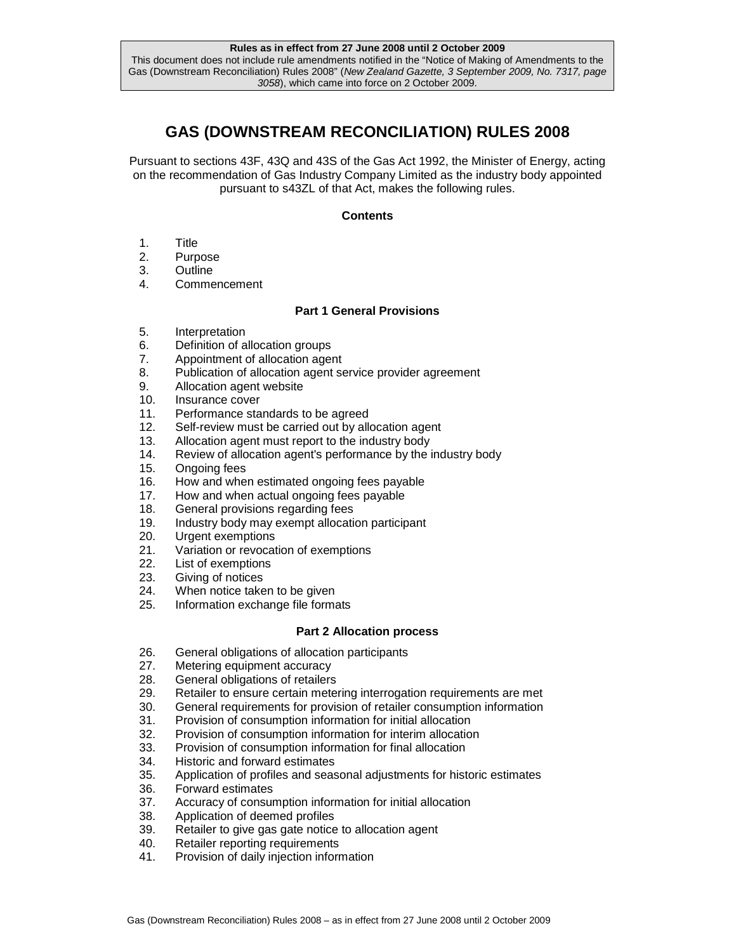# **GAS (DOWNSTREAM RECONCILIATION) RULES 2008**

Pursuant to sections 43F, 43Q and 43S of the Gas Act 1992, the Minister of Energy, acting on the recommendation of Gas Industry Company Limited as the industry body appointed pursuant to s43ZL of that Act, makes the following rules.

# **Contents**

- 1. Title
- 2. Purpose
- 3. Outline
- 4. Commencement

# **Part 1 General Provisions**

- 5. Interpretation
- 6. Definition of allocation groups
- 7. Appointment of allocation agent
- 8. Publication of allocation agent service provider agreement
- 9. Allocation agent website
- 10. Insurance cover
- 11. Performance standards to be agreed
- 12. Self-review must be carried out by allocation agent
- 13. Allocation agent must report to the industry body
- 14. Review of allocation agent's performance by the industry body
- 15. Ongoing fees
- 16. How and when estimated ongoing fees payable
- 17. How and when actual ongoing fees payable
- 18. General provisions regarding fees
- 19. Industry body may exempt allocation participant
- 20. Urgent exemptions
- 21. Variation or revocation of exemptions<br>22. List of exemptions
- List of exemptions
- 23. Giving of notices
- 24. When notice taken to be given
- 25. Information exchange file formats

# **Part 2 Allocation process**

- 26. General obligations of allocation participants
- 27. Metering equipment accuracy
- 28. General obligations of retailers
- 29. Retailer to ensure certain metering interrogation requirements are met
- 30. General requirements for provision of retailer consumption information
- 31. Provision of consumption information for initial allocation
- 32. Provision of consumption information for interim allocation
- 33. Provision of consumption information for final allocation
- 34. Historic and forward estimates
- 35. Application of profiles and seasonal adjustments for historic estimates
- 36. Forward estimates
- 37. Accuracy of consumption information for initial allocation
- 38. Application of deemed profiles
- 39. Retailer to give gas gate notice to allocation agent
- 40. Retailer reporting requirements
- 41. Provision of daily injection information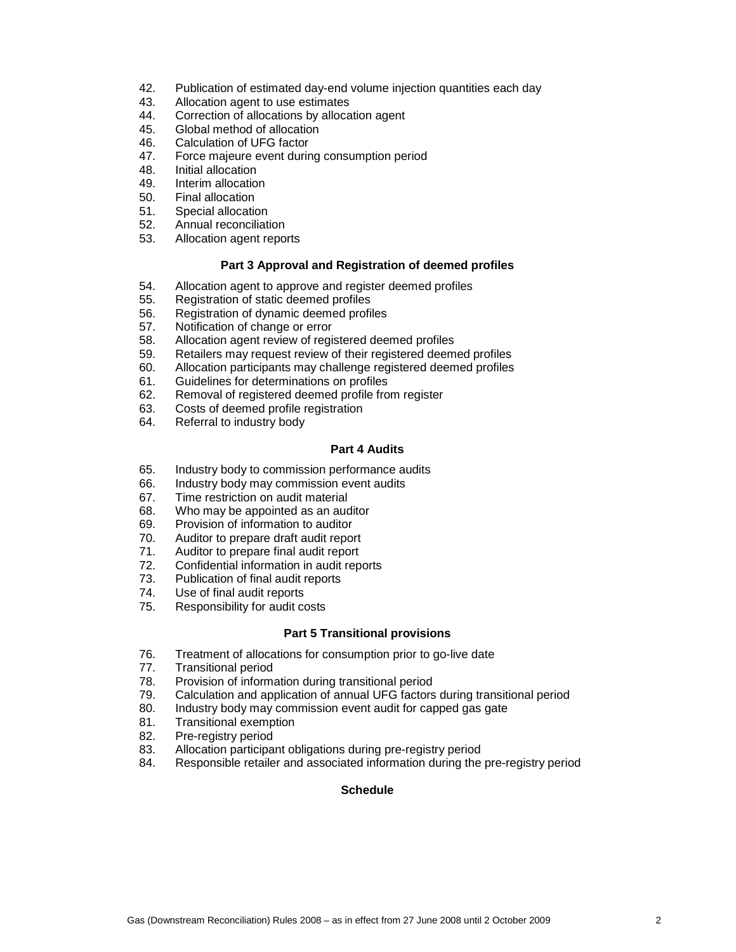- 42. Publication of estimated day-end volume injection quantities each day
- 43. Allocation agent to use estimates
- 44. Correction of allocations by allocation agent
- 45. Global method of allocation
- 46. Calculation of UFG factor
- 47. Force majeure event during consumption period
- 48. Initial allocation
- 49. Interim allocation
- 50. Final allocation
- 51. Special allocation
- 52. Annual reconciliation
- 53. Allocation agent reports

### **Part 3 Approval and Registration of deemed profiles**

- 54. Allocation agent to approve and register deemed profiles
- 55. Registration of static deemed profiles
- 56. Registration of dynamic deemed profiles
- 57. Notification of change or error
- 58. Allocation agent review of registered deemed profiles
- 59. Retailers may request review of their registered deemed profiles
- 60. Allocation participants may challenge registered deemed profiles
- 61. Guidelines for determinations on profiles
- 62. Removal of registered deemed profile from register
- 63. Costs of deemed profile registration
- 64. Referral to industry body

### **Part 4 Audits**

- 65. Industry body to commission performance audits
- 66. Industry body may commission event audits
- 67. Time restriction on audit material
- 68. Who may be appointed as an auditor
- 69. Provision of information to auditor
- 70. Auditor to prepare draft audit report
- 71. Auditor to prepare final audit report
- 72. Confidential information in audit reports
- 73. Publication of final audit reports
- 74. Use of final audit reports
- 75. Responsibility for audit costs

#### **Part 5 Transitional provisions**

- 76. Treatment of allocations for consumption prior to go-live date
- 77. Transitional period
- 78. Provision of information during transitional period
- 79. Calculation and application of annual UFG factors during transitional period
- 80. Industry body may commission event audit for capped gas gate
- 81. Transitional exemption
- 82. Pre-registry period
- 83. Allocation participant obligations during pre-registry period
- 84. Responsible retailer and associated information during the pre-registry period

# **Schedule**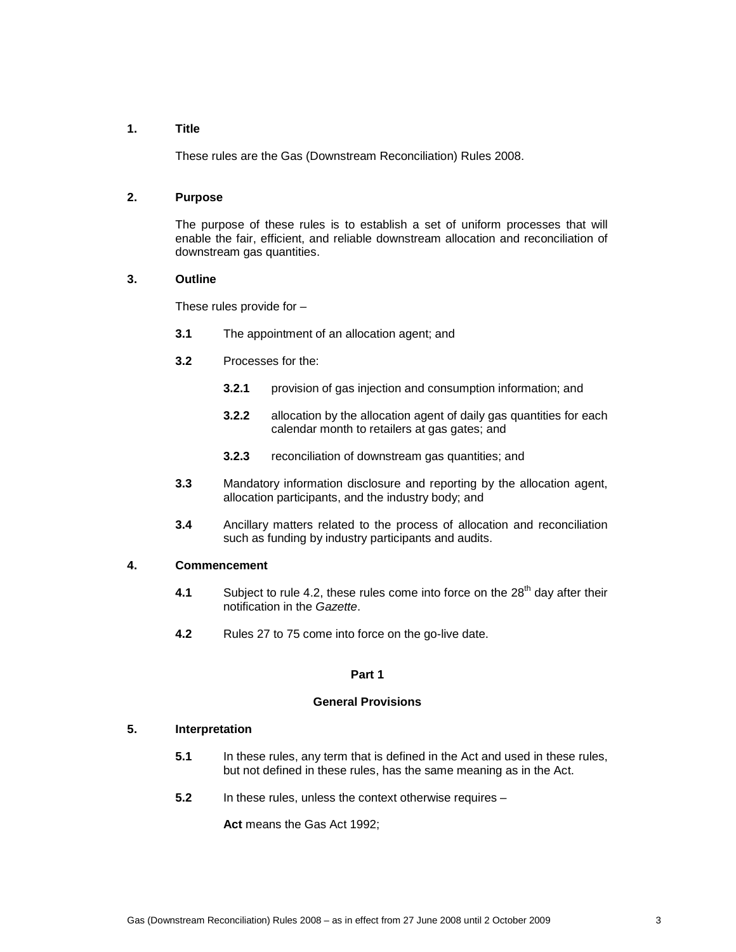# **1. Title**

These rules are the Gas (Downstream Reconciliation) Rules 2008.

# **2. Purpose**

The purpose of these rules is to establish a set of uniform processes that will enable the fair, efficient, and reliable downstream allocation and reconciliation of downstream gas quantities.

### **3. Outline**

These rules provide for –

- **3.1** The appointment of an allocation agent; and
- **3.2** Processes for the:
	- **3.2.1** provision of gas injection and consumption information; and
	- **3.2.2** allocation by the allocation agent of daily gas quantities for each calendar month to retailers at gas gates; and
	- **3.2.3** reconciliation of downstream gas quantities; and
- **3.3** Mandatory information disclosure and reporting by the allocation agent, allocation participants, and the industry body; and
- **3.4** Ancillary matters related to the process of allocation and reconciliation such as funding by industry participants and audits.

### **4. Commencement**

- **4.1** Subject to rule 4.2, these rules come into force on the 28<sup>th</sup> day after their notification in the Gazette.
- **4.2** Rules 27 to 75 come into force on the go-live date.

### **Part 1**

#### **General Provisions**

# **5. Interpretation**

- **5.1** In these rules, any term that is defined in the Act and used in these rules, but not defined in these rules, has the same meaning as in the Act.
- **5.2** In these rules, unless the context otherwise requires –

**Act** means the Gas Act 1992;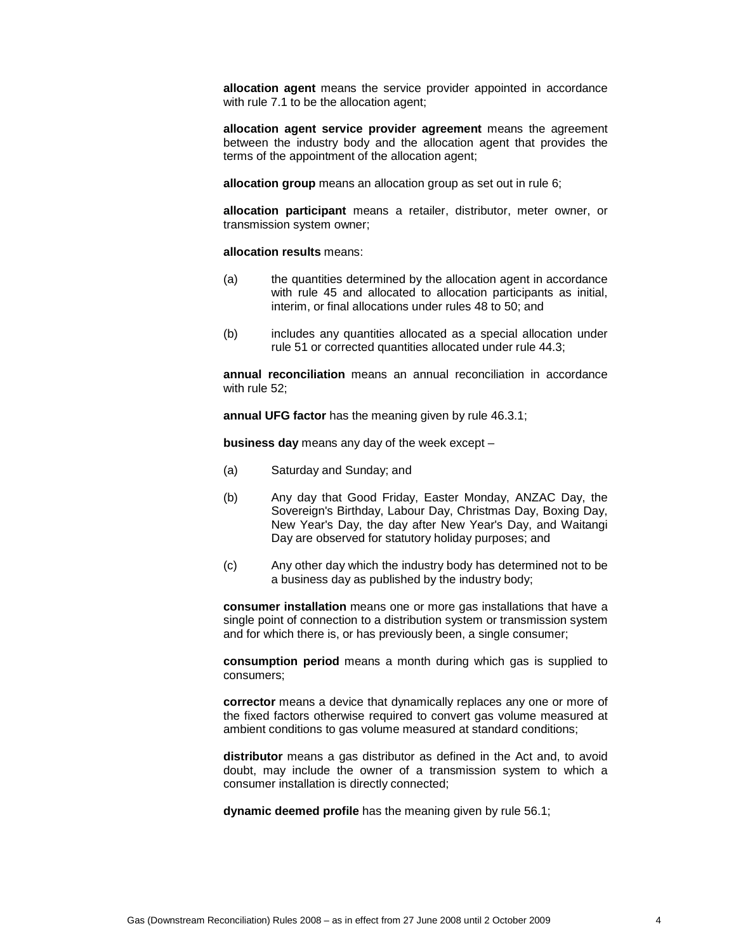**allocation agent** means the service provider appointed in accordance with rule 7.1 to be the allocation agent;

**allocation agent service provider agreement** means the agreement between the industry body and the allocation agent that provides the terms of the appointment of the allocation agent;

**allocation group** means an allocation group as set out in rule 6;

**allocation participant** means a retailer, distributor, meter owner, or transmission system owner;

**allocation results** means:

- (a) the quantities determined by the allocation agent in accordance with rule 45 and allocated to allocation participants as initial, interim, or final allocations under rules 48 to 50; and
- (b) includes any quantities allocated as a special allocation under rule 51 or corrected quantities allocated under rule 44.3;

**annual reconciliation** means an annual reconciliation in accordance with rule 52:

**annual UFG factor** has the meaning given by rule 46.3.1;

**business day** means any day of the week except –

- (a) Saturday and Sunday; and
- (b) Any day that Good Friday, Easter Monday, ANZAC Day, the Sovereign's Birthday, Labour Day, Christmas Day, Boxing Day, New Year's Day, the day after New Year's Day, and Waitangi Day are observed for statutory holiday purposes; and
- (c) Any other day which the industry body has determined not to be a business day as published by the industry body;

**consumer installation** means one or more gas installations that have a single point of connection to a distribution system or transmission system and for which there is, or has previously been, a single consumer;

**consumption period** means a month during which gas is supplied to consumers;

**corrector** means a device that dynamically replaces any one or more of the fixed factors otherwise required to convert gas volume measured at ambient conditions to gas volume measured at standard conditions;

**distributor** means a gas distributor as defined in the Act and, to avoid doubt, may include the owner of a transmission system to which a consumer installation is directly connected;

**dynamic deemed profile** has the meaning given by rule 56.1;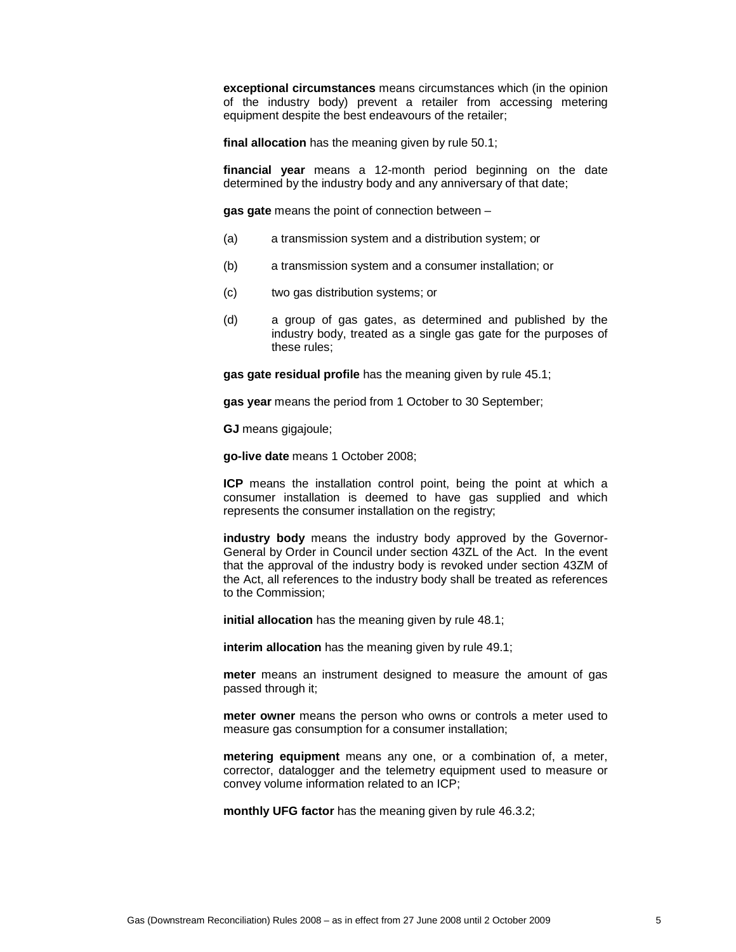**exceptional circumstances** means circumstances which (in the opinion of the industry body) prevent a retailer from accessing metering equipment despite the best endeavours of the retailer;

**final allocation** has the meaning given by rule 50.1;

**financial year** means a 12-month period beginning on the date determined by the industry body and any anniversary of that date;

**gas gate** means the point of connection between –

- (a) a transmission system and a distribution system; or
- (b) a transmission system and a consumer installation; or
- (c) two gas distribution systems; or
- (d) a group of gas gates, as determined and published by the industry body, treated as a single gas gate for the purposes of these rules;

**gas gate residual profile** has the meaning given by rule 45.1;

**gas year** means the period from 1 October to 30 September;

**GJ** means gigajoule;

**go-live date** means 1 October 2008;

**ICP** means the installation control point, being the point at which a consumer installation is deemed to have gas supplied and which represents the consumer installation on the registry;

**industry body** means the industry body approved by the Governor-General by Order in Council under section 43ZL of the Act. In the event that the approval of the industry body is revoked under section 43ZM of the Act, all references to the industry body shall be treated as references to the Commission;

**initial allocation** has the meaning given by rule 48.1;

**interim allocation** has the meaning given by rule 49.1;

**meter** means an instrument designed to measure the amount of gas passed through it;

**meter owner** means the person who owns or controls a meter used to measure gas consumption for a consumer installation;

**metering equipment** means any one, or a combination of, a meter, corrector, datalogger and the telemetry equipment used to measure or convey volume information related to an ICP;

**monthly UFG factor** has the meaning given by rule 46.3.2;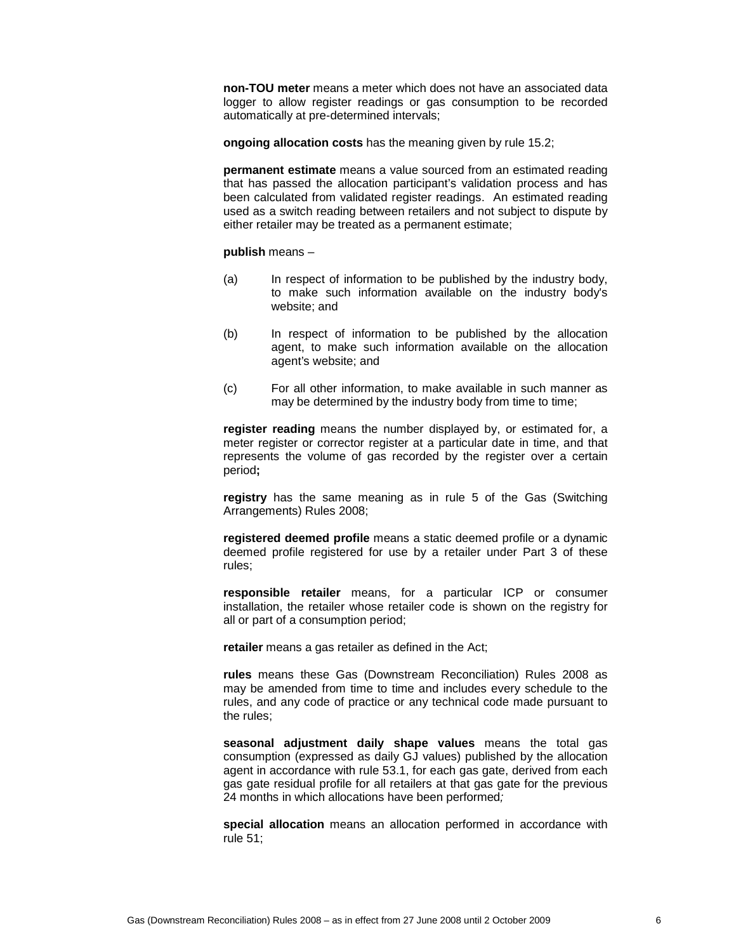**non-TOU meter** means a meter which does not have an associated data logger to allow register readings or gas consumption to be recorded automatically at pre-determined intervals;

**ongoing allocation costs** has the meaning given by rule 15.2;

**permanent estimate** means a value sourced from an estimated reading that has passed the allocation participant's validation process and has been calculated from validated register readings. An estimated reading used as a switch reading between retailers and not subject to dispute by either retailer may be treated as a permanent estimate;

#### **publish** means –

- (a) In respect of information to be published by the industry body, to make such information available on the industry body's website; and
- (b) In respect of information to be published by the allocation agent, to make such information available on the allocation agent's website; and
- (c) For all other information, to make available in such manner as may be determined by the industry body from time to time;

**register reading** means the number displayed by, or estimated for, a meter register or corrector register at a particular date in time, and that represents the volume of gas recorded by the register over a certain period**;** 

**registry** has the same meaning as in rule 5 of the Gas (Switching Arrangements) Rules 2008;

**registered deemed profile** means a static deemed profile or a dynamic deemed profile registered for use by a retailer under Part 3 of these rules;

**responsible retailer** means, for a particular ICP or consumer installation, the retailer whose retailer code is shown on the registry for all or part of a consumption period;

**retailer** means a gas retailer as defined in the Act;

**rules** means these Gas (Downstream Reconciliation) Rules 2008 as may be amended from time to time and includes every schedule to the rules, and any code of practice or any technical code made pursuant to the rules;

**seasonal adjustment daily shape values** means the total gas consumption (expressed as daily GJ values) published by the allocation agent in accordance with rule 53.1, for each gas gate, derived from each gas gate residual profile for all retailers at that gas gate for the previous 24 months in which allocations have been performed;

**special allocation** means an allocation performed in accordance with rule 51;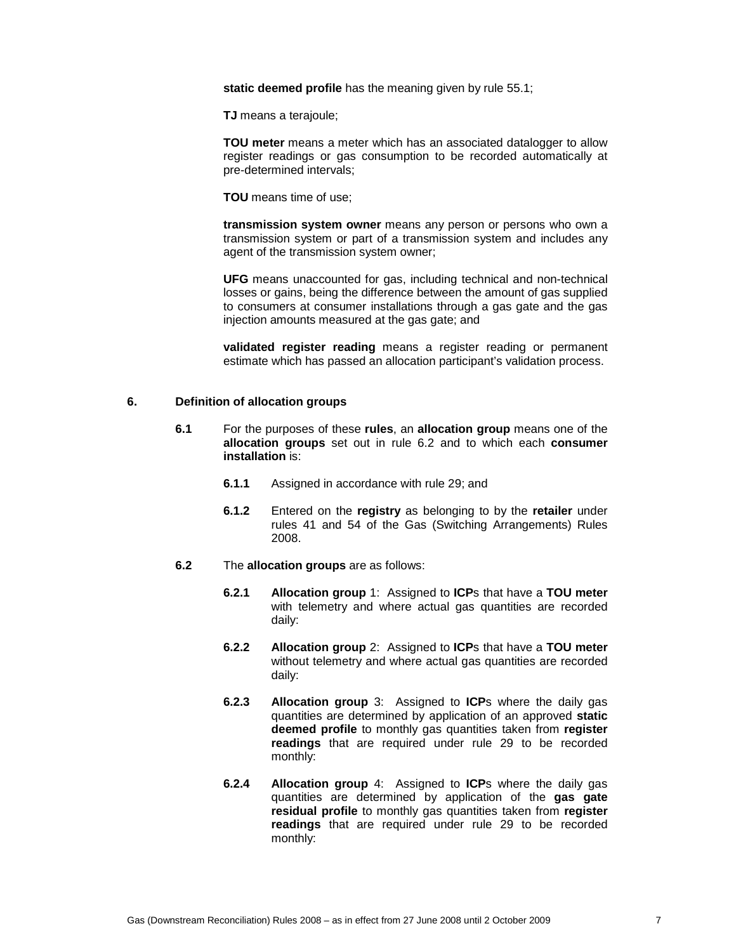**static deemed profile** has the meaning given by rule 55.1;

**TJ** means a terajoule;

**TOU meter** means a meter which has an associated datalogger to allow register readings or gas consumption to be recorded automatically at pre-determined intervals;

**TOU** means time of use;

**transmission system owner** means any person or persons who own a transmission system or part of a transmission system and includes any agent of the transmission system owner;

**UFG** means unaccounted for gas, including technical and non-technical losses or gains, being the difference between the amount of gas supplied to consumers at consumer installations through a gas gate and the gas injection amounts measured at the gas gate; and

**validated register reading** means a register reading or permanent estimate which has passed an allocation participant's validation process.

#### **6. Definition of allocation groups**

- **6.1** For the purposes of these **rules**, an **allocation group** means one of the **allocation groups** set out in rule 6.2 and to which each **consumer installation** is:
	- **6.1.1** Assigned in accordance with rule 29; and
	- **6.1.2** Entered on the **registry** as belonging to by the **retailer** under rules 41 and 54 of the Gas (Switching Arrangements) Rules 2008.
- **6.2** The **allocation groups** are as follows:
	- **6.2.1 Allocation group** 1: Assigned to **ICP**s that have a **TOU meter** with telemetry and where actual gas quantities are recorded daily:
	- **6.2.2 Allocation group** 2: Assigned to **ICP**s that have a **TOU meter** without telemetry and where actual gas quantities are recorded daily:
	- **6.2.3 Allocation group** 3: Assigned to **ICP**s where the daily gas quantities are determined by application of an approved **static deemed profile** to monthly gas quantities taken from **register readings** that are required under rule 29 to be recorded monthly:
	- **6.2.4 Allocation group** 4: Assigned to **ICP**s where the daily gas quantities are determined by application of the **gas gate residual profile** to monthly gas quantities taken from **register readings** that are required under rule 29 to be recorded monthly: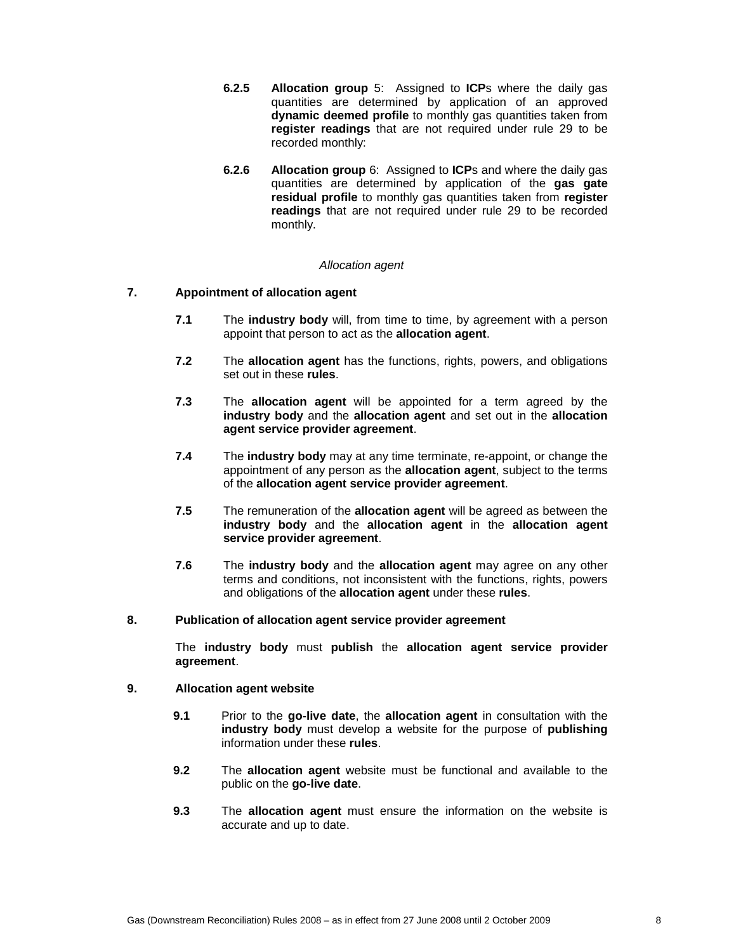- **6.2.5 Allocation group** 5: Assigned to **ICP**s where the daily gas quantities are determined by application of an approved **dynamic deemed profile** to monthly gas quantities taken from **register readings** that are not required under rule 29 to be recorded monthly:
- **6.2.6 Allocation group** 6: Assigned to **ICP**s and where the daily gas quantities are determined by application of the **gas gate residual profile** to monthly gas quantities taken from **register readings** that are not required under rule 29 to be recorded monthly.

### Allocation agent

# **7. Appointment of allocation agent**

- **7.1** The **industry body** will, from time to time, by agreement with a person appoint that person to act as the **allocation agent**.
- **7.2** The **allocation agent** has the functions, rights, powers, and obligations set out in these **rules**.
- **7.3** The **allocation agent** will be appointed for a term agreed by the **industry body** and the **allocation agent** and set out in the **allocation agent service provider agreement**.
- **7.4** The **industry body** may at any time terminate, re-appoint, or change the appointment of any person as the **allocation agent**, subject to the terms of the **allocation agent service provider agreement**.
- **7.5** The remuneration of the **allocation agent** will be agreed as between the **industry body** and the **allocation agent** in the **allocation agent service provider agreement**.
- **7.6** The **industry body** and the **allocation agent** may agree on any other terms and conditions, not inconsistent with the functions, rights, powers and obligations of the **allocation agent** under these **rules**.
- **8. Publication of allocation agent service provider agreement**

The **industry body** must **publish** the **allocation agent service provider agreement**.

#### **9. Allocation agent website**

- **9.1** Prior to the **go-live date**, the **allocation agent** in consultation with the **industry body** must develop a website for the purpose of **publishing** information under these **rules**.
- **9.2** The **allocation agent** website must be functional and available to the public on the **go-live date**.
- **9.3** The **allocation agent** must ensure the information on the website is accurate and up to date.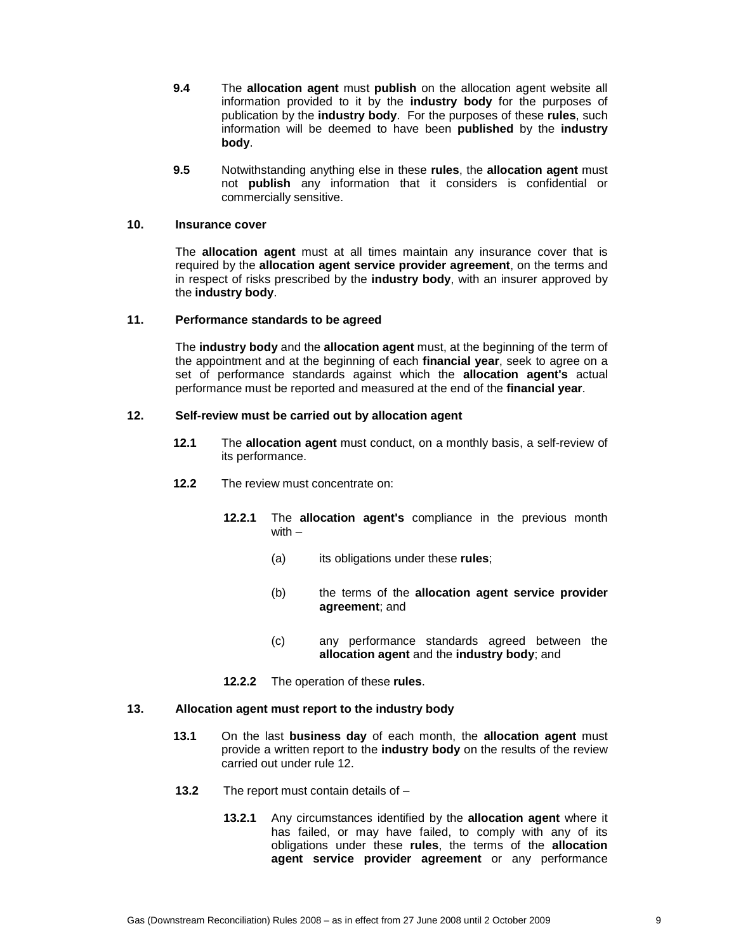- **9.4** The **allocation agent** must **publish** on the allocation agent website all information provided to it by the **industry body** for the purposes of publication by the **industry body**. For the purposes of these **rules**, such information will be deemed to have been **published** by the **industry body**.
- **9.5** Notwithstanding anything else in these **rules**, the **allocation agent** must not **publish** any information that it considers is confidential or commercially sensitive.

# **10. Insurance cover**

The **allocation agent** must at all times maintain any insurance cover that is required by the **allocation agent service provider agreement**, on the terms and in respect of risks prescribed by the **industry body**, with an insurer approved by the **industry body**.

### **11. Performance standards to be agreed**

The **industry body** and the **allocation agent** must, at the beginning of the term of the appointment and at the beginning of each **financial year**, seek to agree on a set of performance standards against which the **allocation agent's** actual performance must be reported and measured at the end of the **financial year**.

### **12. Self-review must be carried out by allocation agent**

- **12.1** The **allocation agent** must conduct, on a monthly basis, a self-review of its performance.
- **12.2** The review must concentrate on:
	- **12.2.1** The **allocation agent's** compliance in the previous month with –
		- (a) its obligations under these **rules**;
		- (b) the terms of the **allocation agent service provider agreement**; and
		- (c) any performance standards agreed between the **allocation agent** and the **industry body**; and
	- **12.2.2** The operation of these **rules**.

### **13. Allocation agent must report to the industry body**

- **13.1** On the last **business day** of each month, the **allocation agent** must provide a written report to the **industry body** on the results of the review carried out under rule 12.
- **13.2** The report must contain details of
	- **13.2.1** Any circumstances identified by the **allocation agent** where it has failed, or may have failed, to comply with any of its obligations under these **rules**, the terms of the **allocation agent service provider agreement** or any performance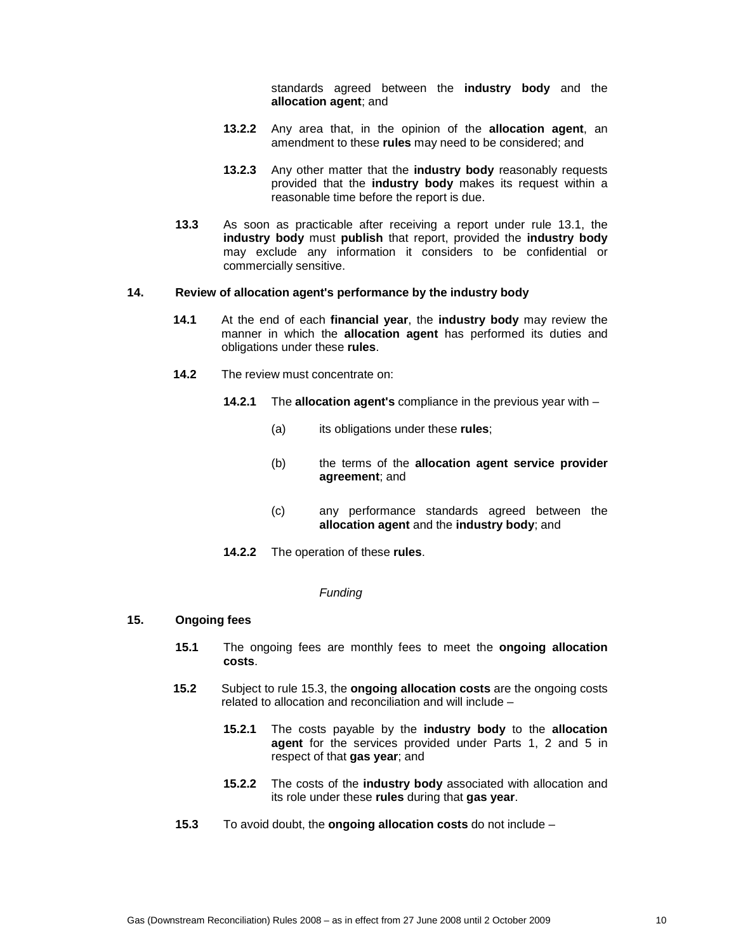standards agreed between the **industry body** and the **allocation agent**; and

- **13.2.2** Any area that, in the opinion of the **allocation agent**, an amendment to these **rules** may need to be considered; and
- **13.2.3** Any other matter that the **industry body** reasonably requests provided that the **industry body** makes its request within a reasonable time before the report is due.
- **13.3** As soon as practicable after receiving a report under rule 13.1, the **industry body** must **publish** that report, provided the **industry body** may exclude any information it considers to be confidential or commercially sensitive.

### **14. Review of allocation agent's performance by the industry body**

- **14.1** At the end of each **financial year**, the **industry body** may review the manner in which the **allocation agent** has performed its duties and obligations under these **rules**.
- **14.2** The review must concentrate on:
	- **14.2.1** The **allocation agent's** compliance in the previous year with
		- (a) its obligations under these **rules**;
		- (b) the terms of the **allocation agent service provider agreement**; and
		- (c) any performance standards agreed between the **allocation agent** and the **industry body**; and
	- **14.2.2** The operation of these **rules**.

#### **Funding**

### **15. Ongoing fees**

- **15.1** The ongoing fees are monthly fees to meet the **ongoing allocation costs**.
- **15.2** Subject to rule 15.3, the **ongoing allocation costs** are the ongoing costs related to allocation and reconciliation and will include –
	- **15.2.1** The costs payable by the **industry body** to the **allocation agent** for the services provided under Parts 1, 2 and 5 in respect of that **gas year**; and
	- **15.2.2** The costs of the **industry body** associated with allocation and its role under these **rules** during that **gas year**.
- **15.3** To avoid doubt, the **ongoing allocation costs** do not include –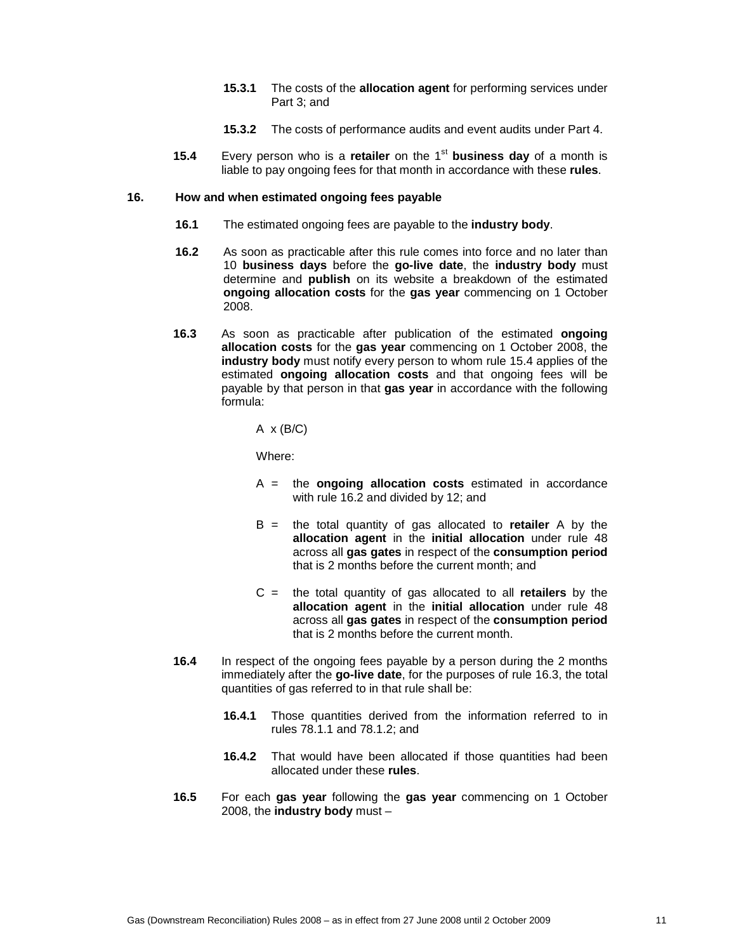- **15.3.1** The costs of the **allocation agent** for performing services under Part 3; and
- **15.3.2** The costs of performance audits and event audits under Part 4.
- **15.4** Every person who is a **retailer** on the 1<sup>st</sup> business day of a month is liable to pay ongoing fees for that month in accordance with these **rules**.

### **16. How and when estimated ongoing fees payable**

- **16.1** The estimated ongoing fees are payable to the **industry body**.
- **16.2** As soon as practicable after this rule comes into force and no later than 10 **business days** before the **go-live date**, the **industry body** must determine and **publish** on its website a breakdown of the estimated **ongoing allocation costs** for the **gas year** commencing on 1 October 2008.
- **16.3** As soon as practicable after publication of the estimated **ongoing allocation costs** for the **gas year** commencing on 1 October 2008, the **industry body** must notify every person to whom rule 15.4 applies of the estimated **ongoing allocation costs** and that ongoing fees will be payable by that person in that **gas year** in accordance with the following formula:

 $A \times (B/C)$ 

Where:

- A = the **ongoing allocation costs** estimated in accordance with rule 16.2 and divided by 12; and
- B = the total quantity of gas allocated to **retailer** A by the **allocation agent** in the **initial allocation** under rule 48 across all **gas gates** in respect of the **consumption period** that is 2 months before the current month; and
- C = the total quantity of gas allocated to all **retailers** by the **allocation agent** in the **initial allocation** under rule 48 across all **gas gates** in respect of the **consumption period** that is 2 months before the current month.
- **16.4** In respect of the ongoing fees payable by a person during the 2 months immediately after the **go-live date**, for the purposes of rule 16.3, the total quantities of gas referred to in that rule shall be:
	- **16.4.1** Those quantities derived from the information referred to in rules 78.1.1 and 78.1.2; and
	- **16.4.2** That would have been allocated if those quantities had been allocated under these **rules**.
- **16.5** For each **gas year** following the **gas year** commencing on 1 October 2008, the **industry body** must –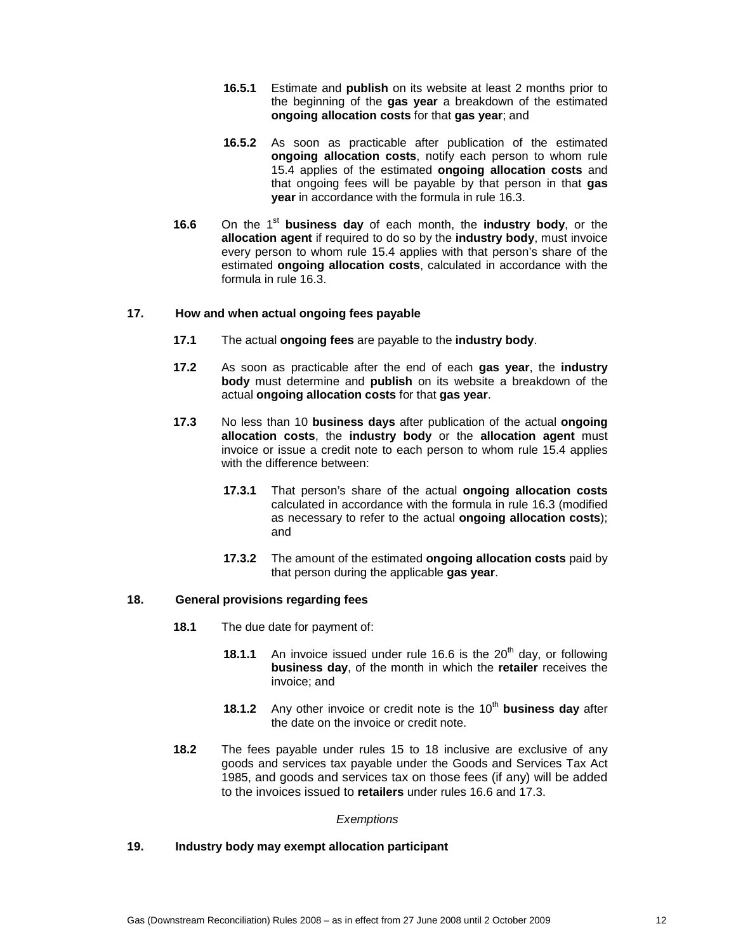- **16.5.1** Estimate and **publish** on its website at least 2 months prior to the beginning of the **gas year** a breakdown of the estimated **ongoing allocation costs** for that **gas year**; and
- **16.5.2** As soon as practicable after publication of the estimated **ongoing allocation costs**, notify each person to whom rule 15.4 applies of the estimated **ongoing allocation costs** and that ongoing fees will be payable by that person in that **gas year** in accordance with the formula in rule 16.3.
- **16.6** On the 1<sup>st</sup> business day of each month, the industry body, or the **allocation agent** if required to do so by the **industry body**, must invoice every person to whom rule 15.4 applies with that person's share of the estimated **ongoing allocation costs**, calculated in accordance with the formula in rule 16.3.

# **17. How and when actual ongoing fees payable**

- **17.1** The actual **ongoing fees** are payable to the **industry body**.
- **17.2** As soon as practicable after the end of each **gas year**, the **industry body** must determine and **publish** on its website a breakdown of the actual **ongoing allocation costs** for that **gas year**.
- **17.3** No less than 10 **business days** after publication of the actual **ongoing allocation costs**, the **industry body** or the **allocation agent** must invoice or issue a credit note to each person to whom rule 15.4 applies with the difference between:
	- **17.3.1** That person's share of the actual **ongoing allocation costs** calculated in accordance with the formula in rule 16.3 (modified as necessary to refer to the actual **ongoing allocation costs**); and
	- **17.3.2** The amount of the estimated **ongoing allocation costs** paid by that person during the applicable **gas year**.

# **18. General provisions regarding fees**

- **18.1** The due date for payment of:
	- **18.1.1** An invoice issued under rule 16.6 is the 20<sup>th</sup> day, or following **business day**, of the month in which the **retailer** receives the invoice; and
	- **18.1.2** Any other invoice or credit note is the 10<sup>th</sup> business day after the date on the invoice or credit note.
- **18.2** The fees payable under rules 15 to 18 inclusive are exclusive of any goods and services tax payable under the Goods and Services Tax Act 1985, and goods and services tax on those fees (if any) will be added to the invoices issued to **retailers** under rules 16.6 and 17.3.

### **Exemptions**

# **19. Industry body may exempt allocation participant**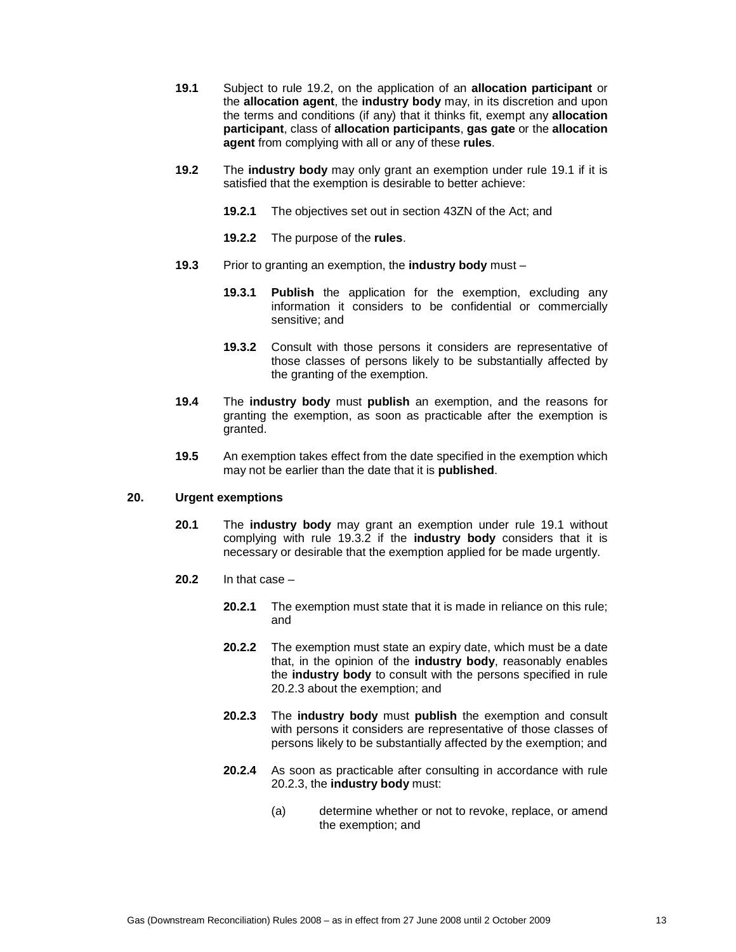- **19.1** Subject to rule 19.2, on the application of an **allocation participant** or the **allocation agent**, the **industry body** may, in its discretion and upon the terms and conditions (if any) that it thinks fit, exempt any **allocation participant**, class of **allocation participants**, **gas gate** or the **allocation agent** from complying with all or any of these **rules**.
- **19.2** The **industry body** may only grant an exemption under rule 19.1 if it is satisfied that the exemption is desirable to better achieve:
	- **19.2.1** The objectives set out in section 43ZN of the Act; and
	- **19.2.2** The purpose of the **rules**.
- **19.3** Prior to granting an exemption, the **industry body** must
	- **19.3.1 Publish** the application for the exemption, excluding any information it considers to be confidential or commercially sensitive; and
	- **19.3.2** Consult with those persons it considers are representative of those classes of persons likely to be substantially affected by the granting of the exemption.
- **19.4** The **industry body** must **publish** an exemption, and the reasons for granting the exemption, as soon as practicable after the exemption is granted.
- **19.5** An exemption takes effect from the date specified in the exemption which may not be earlier than the date that it is **published**.

# **20. Urgent exemptions**

- **20.1** The **industry body** may grant an exemption under rule 19.1 without complying with rule 19.3.2 if the **industry body** considers that it is necessary or desirable that the exemption applied for be made urgently.
- **20.2** In that case
	- **20.2.1** The exemption must state that it is made in reliance on this rule; and
	- **20.2.2** The exemption must state an expiry date, which must be a date that, in the opinion of the **industry body**, reasonably enables the **industry body** to consult with the persons specified in rule 20.2.3 about the exemption; and
	- **20.2.3** The **industry body** must **publish** the exemption and consult with persons it considers are representative of those classes of persons likely to be substantially affected by the exemption; and
	- **20.2.4** As soon as practicable after consulting in accordance with rule 20.2.3, the **industry body** must:
		- (a) determine whether or not to revoke, replace, or amend the exemption; and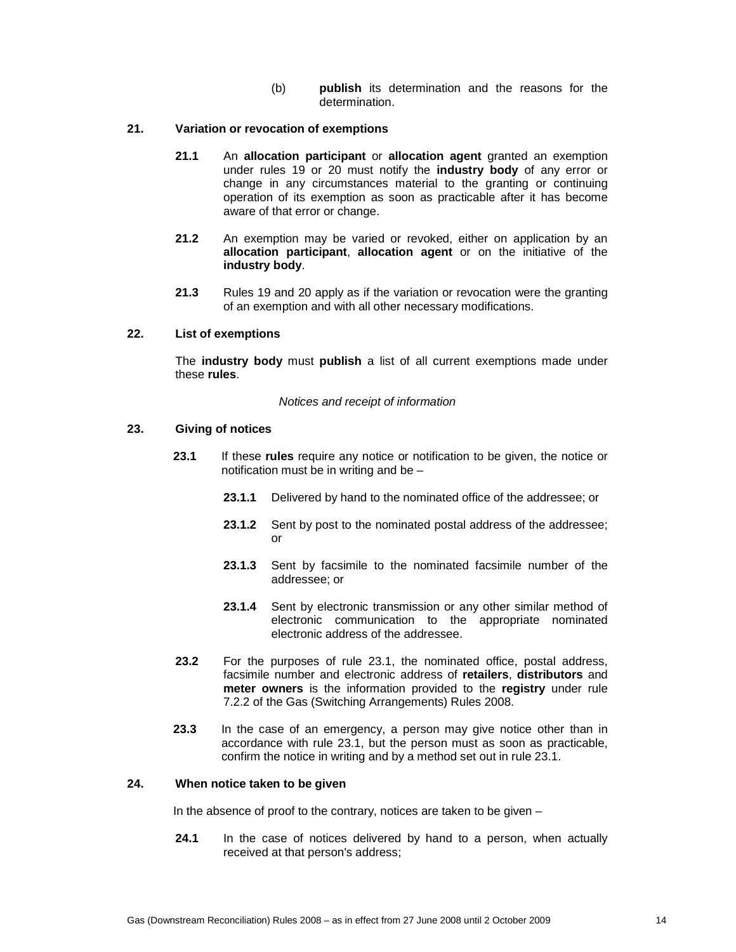(b) **publish** its determination and the reasons for the determination.

# **21. Variation or revocation of exemptions**

- **21.1** An **allocation participant** or **allocation agent** granted an exemption under rules 19 or 20 must notify the **industry body** of any error or change in any circumstances material to the granting or continuing operation of its exemption as soon as practicable after it has become aware of that error or change.
- **21.2** An exemption may be varied or revoked, either on application by an **allocation participant**, **allocation agent** or on the initiative of the **industry body**.
- **21.3** Rules 19 and 20 apply as if the variation or revocation were the granting of an exemption and with all other necessary modifications.

### **22. List of exemptions**

The **industry body** must **publish** a list of all current exemptions made under these **rules**.

#### Notices and receipt of information

#### **23. Giving of notices**

- **23.1** If these **rules** require any notice or notification to be given, the notice or notification must be in writing and be –
	- **23.1.1** Delivered by hand to the nominated office of the addressee; or
	- **23.1.2** Sent by post to the nominated postal address of the addressee; or
	- **23.1.3** Sent by facsimile to the nominated facsimile number of the addressee; or
	- **23.1.4** Sent by electronic transmission or any other similar method of electronic communication to the appropriate nominated electronic address of the addressee.
- **23.2** For the purposes of rule 23.1, the nominated office, postal address, facsimile number and electronic address of **retailers**, **distributors** and **meter owners** is the information provided to the **registry** under rule 7.2.2 of the Gas (Switching Arrangements) Rules 2008.
- **23.3** In the case of an emergency, a person may give notice other than in accordance with rule 23.1, but the person must as soon as practicable, confirm the notice in writing and by a method set out in rule 23.1.

### **24. When notice taken to be given**

In the absence of proof to the contrary, notices are taken to be given –

**24.1** In the case of notices delivered by hand to a person, when actually received at that person's address;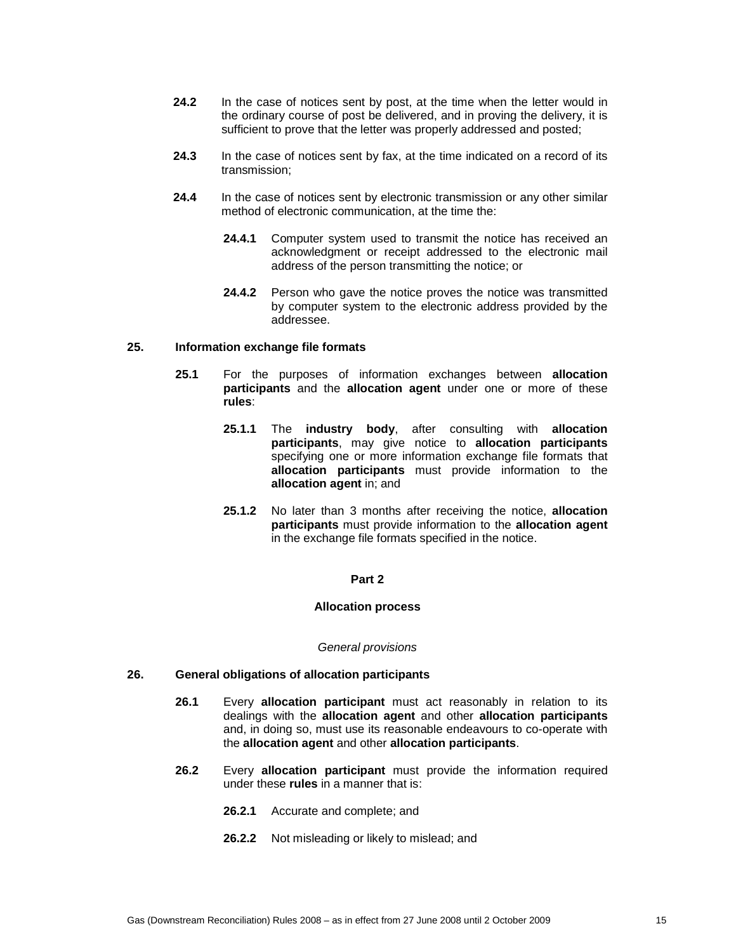- **24.2** In the case of notices sent by post, at the time when the letter would in the ordinary course of post be delivered, and in proving the delivery, it is sufficient to prove that the letter was properly addressed and posted;
- **24.3** In the case of notices sent by fax, at the time indicated on a record of its transmission;
- **24.4** In the case of notices sent by electronic transmission or any other similar method of electronic communication, at the time the:
	- 24.4.1 Computer system used to transmit the notice has received an acknowledgment or receipt addressed to the electronic mail address of the person transmitting the notice; or
	- **24.4.2** Person who gave the notice proves the notice was transmitted by computer system to the electronic address provided by the addressee.

#### **25. Information exchange file formats**

- **25.1** For the purposes of information exchanges between **allocation participants** and the **allocation agent** under one or more of these **rules**:
	- **25.1.1** The **industry body**, after consulting with **allocation participants**, may give notice to **allocation participants** specifying one or more information exchange file formats that **allocation participants** must provide information to the **allocation agent** in; and
	- **25.1.2** No later than 3 months after receiving the notice, **allocation participants** must provide information to the **allocation agent** in the exchange file formats specified in the notice.

# **Part 2**

#### **Allocation process**

#### General provisions

# **26. General obligations of allocation participants**

- **26.1** Every **allocation participant** must act reasonably in relation to its dealings with the **allocation agent** and other **allocation participants** and, in doing so, must use its reasonable endeavours to co-operate with the **allocation agent** and other **allocation participants**.
- **26.2** Every **allocation participant** must provide the information required under these **rules** in a manner that is:
	- **26.2.1** Accurate and complete; and
	- **26.2.2** Not misleading or likely to mislead; and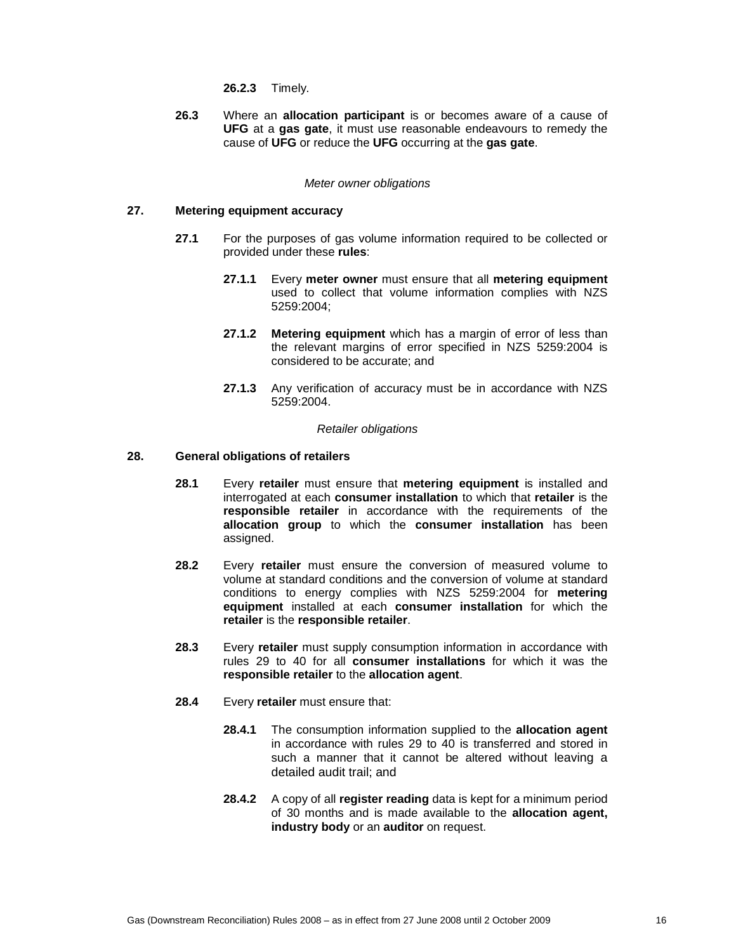**26.2.3** Timely.

**26.3** Where an **allocation participant** is or becomes aware of a cause of **UFG** at a **gas gate**, it must use reasonable endeavours to remedy the cause of **UFG** or reduce the **UFG** occurring at the **gas gate**.

### Meter owner obligations

# **27. Metering equipment accuracy**

- **27.1** For the purposes of gas volume information required to be collected or provided under these **rules**:
	- **27.1.1** Every **meter owner** must ensure that all **metering equipment** used to collect that volume information complies with NZS 5259:2004;
	- **27.1.2 Metering equipment** which has a margin of error of less than the relevant margins of error specified in NZS 5259:2004 is considered to be accurate; and
	- **27.1.3** Any verification of accuracy must be in accordance with NZS 5259:2004.

#### Retailer obligations

# **28. General obligations of retailers**

- **28.1** Every **retailer** must ensure that **metering equipment** is installed and interrogated at each **consumer installation** to which that **retailer** is the **responsible retailer** in accordance with the requirements of the **allocation group** to which the **consumer installation** has been assigned.
- **28.2** Every **retailer** must ensure the conversion of measured volume to volume at standard conditions and the conversion of volume at standard conditions to energy complies with NZS 5259:2004 for **metering equipment** installed at each **consumer installation** for which the **retailer** is the **responsible retailer**.
- **28.3** Every **retailer** must supply consumption information in accordance with rules 29 to 40 for all **consumer installations** for which it was the **responsible retailer** to the **allocation agent**.
- **28.4** Every **retailer** must ensure that:
	- **28.4.1** The consumption information supplied to the **allocation agent** in accordance with rules 29 to 40 is transferred and stored in such a manner that it cannot be altered without leaving a detailed audit trail; and
	- **28.4.2** A copy of all **register reading** data is kept for a minimum period of 30 months and is made available to the **allocation agent, industry body** or an **auditor** on request.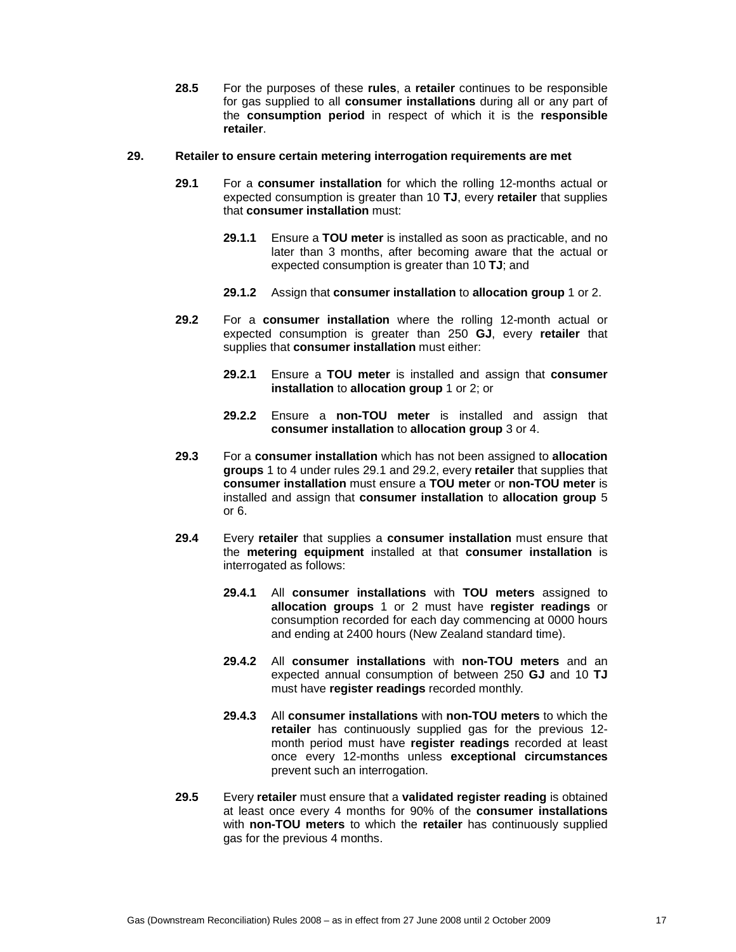**28.5** For the purposes of these **rules**, a **retailer** continues to be responsible for gas supplied to all **consumer installations** during all or any part of the **consumption period** in respect of which it is the **responsible retailer**.

#### **29. Retailer to ensure certain metering interrogation requirements are met**

- **29.1** For a **consumer installation** for which the rolling 12-months actual or expected consumption is greater than 10 **TJ**, every **retailer** that supplies that **consumer installation** must:
	- **29.1.1** Ensure a **TOU meter** is installed as soon as practicable, and no later than 3 months, after becoming aware that the actual or expected consumption is greater than 10 **TJ**; and
	- **29.1.2** Assign that **consumer installation** to **allocation group** 1 or 2.
- **29.2** For a **consumer installation** where the rolling 12-month actual or expected consumption is greater than 250 **GJ**, every **retailer** that supplies that **consumer installation** must either:
	- **29.2.1** Ensure a **TOU meter** is installed and assign that **consumer installation** to **allocation group** 1 or 2; or
	- **29.2.2** Ensure a **non-TOU meter** is installed and assign that **consumer installation** to **allocation group** 3 or 4.
- **29.3** For a **consumer installation** which has not been assigned to **allocation groups** 1 to 4 under rules 29.1 and 29.2, every **retailer** that supplies that **consumer installation** must ensure a **TOU meter** or **non-TOU meter** is installed and assign that **consumer installation** to **allocation group** 5 or 6.
- **29.4** Every **retailer** that supplies a **consumer installation** must ensure that the **metering equipment** installed at that **consumer installation** is interrogated as follows:
	- **29.4.1** All **consumer installations** with **TOU meters** assigned to **allocation groups** 1 or 2 must have **register readings** or consumption recorded for each day commencing at 0000 hours and ending at 2400 hours (New Zealand standard time).
	- **29.4.2** All **consumer installations** with **non-TOU meters** and an expected annual consumption of between 250 **GJ** and 10 **TJ** must have **register readings** recorded monthly.
	- **29.4.3** All **consumer installations** with **non-TOU meters** to which the **retailer** has continuously supplied gas for the previous 12 month period must have **register readings** recorded at least once every 12-months unless **exceptional circumstances** prevent such an interrogation.
- **29.5** Every **retailer** must ensure that a **validated register reading** is obtained at least once every 4 months for 90% of the **consumer installations** with **non-TOU meters** to which the **retailer** has continuously supplied gas for the previous 4 months.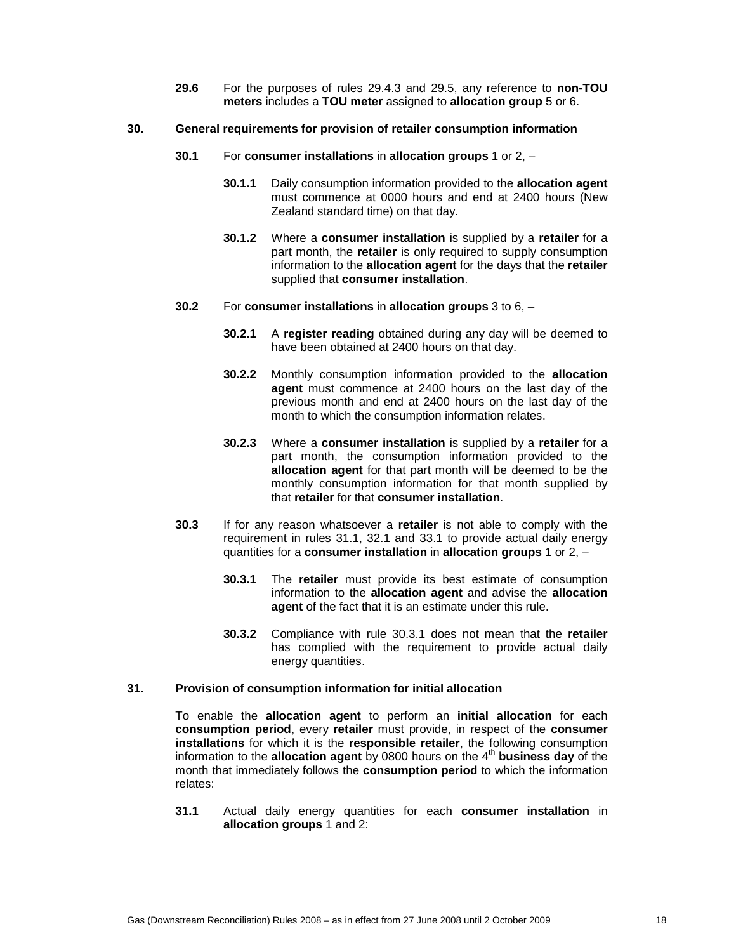**29.6** For the purposes of rules 29.4.3 and 29.5, any reference to **non-TOU meters** includes a **TOU meter** assigned to **allocation group** 5 or 6.

### **30. General requirements for provision of retailer consumption information**

- **30.1** For **consumer installations** in **allocation groups** 1 or 2,
	- **30.1.1** Daily consumption information provided to the **allocation agent** must commence at 0000 hours and end at 2400 hours (New Zealand standard time) on that day.
	- **30.1.2** Where a **consumer installation** is supplied by a **retailer** for a part month, the **retailer** is only required to supply consumption information to the **allocation agent** for the days that the **retailer** supplied that **consumer installation**.

### **30.2** For **consumer installations** in **allocation groups** 3 to 6, –

- **30.2.1** A **register reading** obtained during any day will be deemed to have been obtained at 2400 hours on that day.
- **30.2.2** Monthly consumption information provided to the **allocation agent** must commence at 2400 hours on the last day of the previous month and end at 2400 hours on the last day of the month to which the consumption information relates.
- **30.2.3** Where a **consumer installation** is supplied by a **retailer** for a part month, the consumption information provided to the **allocation agent** for that part month will be deemed to be the monthly consumption information for that month supplied by that **retailer** for that **consumer installation**.
- **30.3** If for any reason whatsoever a **retailer** is not able to comply with the requirement in rules 31.1, 32.1 and 33.1 to provide actual daily energy quantities for a **consumer installation** in **allocation groups** 1 or 2, –
	- **30.3.1** The **retailer** must provide its best estimate of consumption information to the **allocation agent** and advise the **allocation agent** of the fact that it is an estimate under this rule.
	- **30.3.2** Compliance with rule 30.3.1 does not mean that the **retailer** has complied with the requirement to provide actual daily energy quantities.

# **31. Provision of consumption information for initial allocation**

To enable the **allocation agent** to perform an **initial allocation** for each **consumption period**, every **retailer** must provide, in respect of the **consumer installations** for which it is the **responsible retailer**, the following consumption information to the **allocation agent** by 0800 hours on the 4<sup>th</sup> business day of the month that immediately follows the **consumption period** to which the information relates:

**31.1** Actual daily energy quantities for each **consumer installation** in **allocation groups** 1 and 2: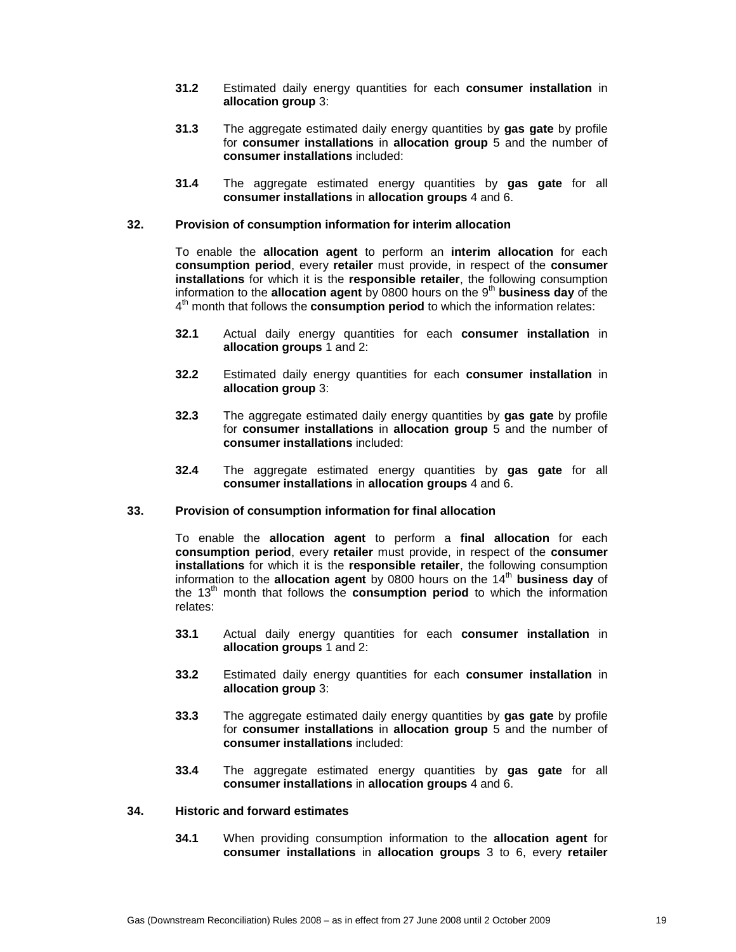- **31.2** Estimated daily energy quantities for each **consumer installation** in **allocation group** 3:
- **31.3** The aggregate estimated daily energy quantities by **gas gate** by profile for **consumer installations** in **allocation group** 5 and the number of **consumer installations** included:
- **31.4** The aggregate estimated energy quantities by **gas gate** for all **consumer installations** in **allocation groups** 4 and 6.

# **32. Provision of consumption information for interim allocation**

To enable the **allocation agent** to perform an **interim allocation** for each **consumption period**, every **retailer** must provide, in respect of the **consumer installations** for which it is the **responsible retailer**, the following consumption information to the **allocation agent** by 0800 hours on the 9<sup>th</sup> business day of the 4<sup>th</sup> month that follows the **consumption period** to which the information relates:

- **32.1** Actual daily energy quantities for each **consumer installation** in **allocation groups** 1 and 2:
- **32.2** Estimated daily energy quantities for each **consumer installation** in **allocation group** 3:
- **32.3** The aggregate estimated daily energy quantities by **gas gate** by profile for **consumer installations** in **allocation group** 5 and the number of **consumer installations** included:
- **32.4** The aggregate estimated energy quantities by **gas gate** for all **consumer installations** in **allocation groups** 4 and 6.

#### **33. Provision of consumption information for final allocation**

To enable the **allocation agent** to perform a **final allocation** for each **consumption period**, every **retailer** must provide, in respect of the **consumer installations** for which it is the **responsible retailer**, the following consumption information to the **allocation agent** by 0800 hours on the 14<sup>th</sup> business day of the 13th month that follows the **consumption period** to which the information relates:

- **33.1** Actual daily energy quantities for each **consumer installation** in **allocation groups** 1 and 2:
- **33.2** Estimated daily energy quantities for each **consumer installation** in **allocation group** 3:
- **33.3** The aggregate estimated daily energy quantities by **gas gate** by profile for **consumer installations** in **allocation group** 5 and the number of **consumer installations** included:
- **33.4** The aggregate estimated energy quantities by **gas gate** for all **consumer installations** in **allocation groups** 4 and 6.

### **34. Historic and forward estimates**

**34.1** When providing consumption information to the **allocation agent** for **consumer installations** in **allocation groups** 3 to 6, every **retailer**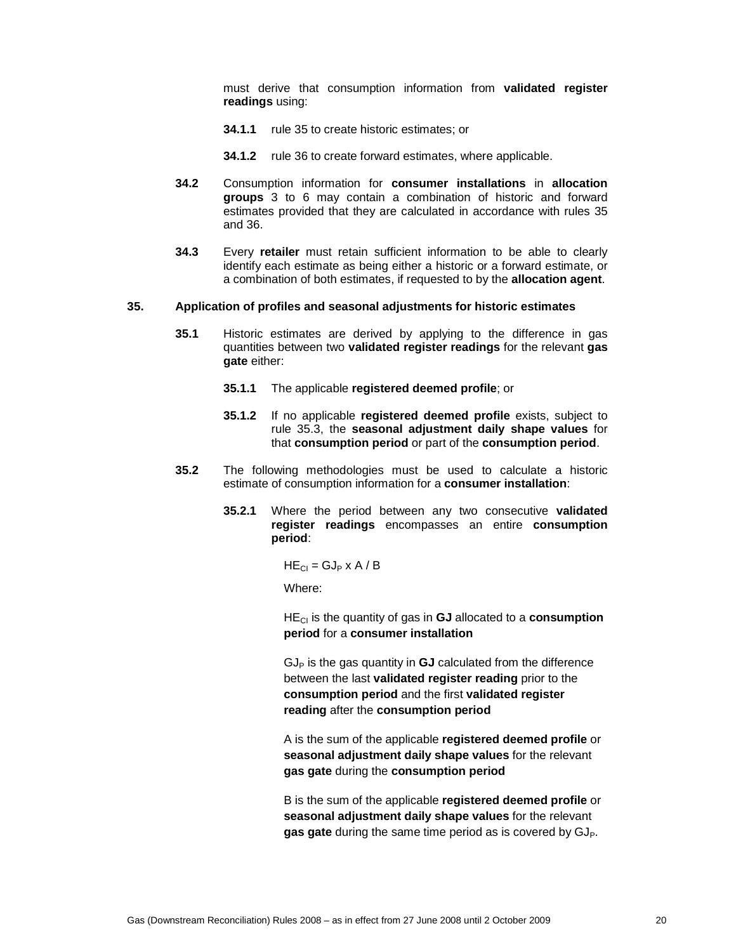must derive that consumption information from **validated register readings** using:

- **34.1.1** rule 35 to create historic estimates; or
- **34.1.2** rule 36 to create forward estimates, where applicable.
- **34.2** Consumption information for **consumer installations** in **allocation groups** 3 to 6 may contain a combination of historic and forward estimates provided that they are calculated in accordance with rules 35 and 36.
- **34.3** Every **retailer** must retain sufficient information to be able to clearly identify each estimate as being either a historic or a forward estimate, or a combination of both estimates, if requested to by the **allocation agent**.

#### **35. Application of profiles and seasonal adjustments for historic estimates**

- **35.1** Historic estimates are derived by applying to the difference in gas quantities between two **validated register readings** for the relevant **gas gate** either:
	- **35.1.1** The applicable **registered deemed profile**; or
	- **35.1.2** If no applicable **registered deemed profile** exists, subject to rule 35.3, the **seasonal adjustment daily shape values** for that **consumption period** or part of the **consumption period**.
- **35.2** The following methodologies must be used to calculate a historic estimate of consumption information for a **consumer installation**:
	- **35.2.1** Where the period between any two consecutive **validated register readings** encompasses an entire **consumption period**:

 $HE_{Cl} = GJ_P \times A / B$ 

Where:

HECI is the quantity of gas in **GJ** allocated to a **consumption period** for a **consumer installation**

 $GJ<sub>P</sub>$  is the gas quantity in  $GJ$  calculated from the difference between the last **validated register reading** prior to the **consumption period** and the first **validated register reading** after the **consumption period**

A is the sum of the applicable **registered deemed profile** or **seasonal adjustment daily shape values** for the relevant **gas gate** during the **consumption period**

B is the sum of the applicable **registered deemed profile** or **seasonal adjustment daily shape values** for the relevant gas gate during the same time period as is covered by GJ<sub>P</sub>.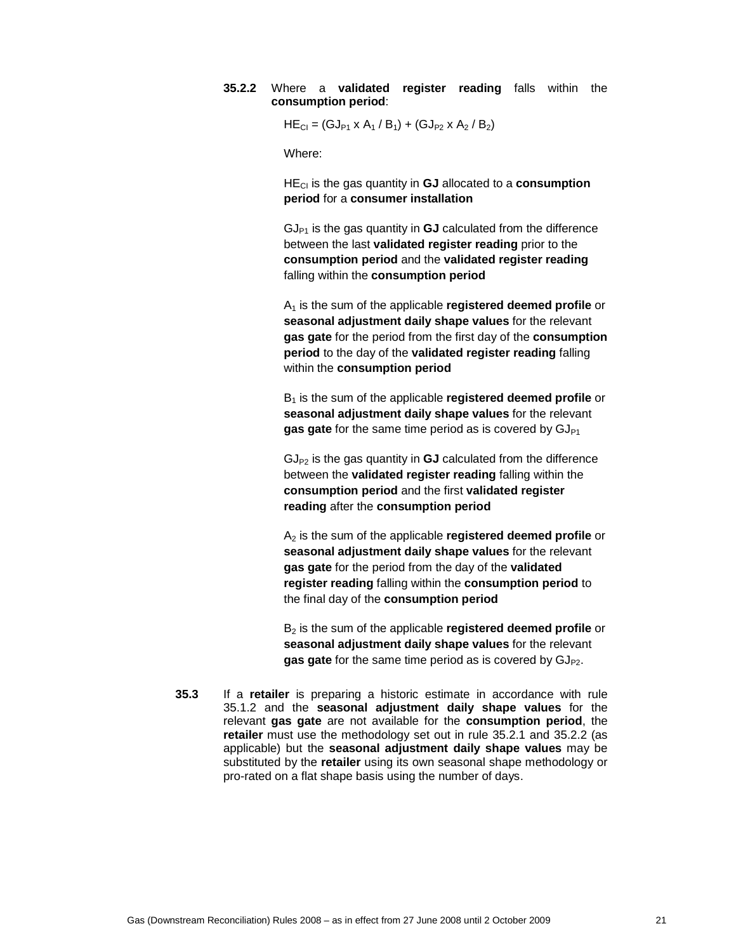### **35.2.2** Where a **validated register reading** falls within the **consumption period**:

 $HE_{Cl} = (GJ_{P1} \times A_1 / B_1) + (GJ_{P2} \times A_2 / B_2)$ 

Where:

HECI is the gas quantity in **GJ** allocated to a **consumption period** for a **consumer installation**

 $GJ_{P1}$  is the gas quantity in  $GJ$  calculated from the difference between the last **validated register reading** prior to the **consumption period** and the **validated register reading** falling within the **consumption period**

A1 is the sum of the applicable **registered deemed profile** or **seasonal adjustment daily shape values** for the relevant **gas gate** for the period from the first day of the **consumption period** to the day of the **validated register reading** falling within the **consumption period**

B1 is the sum of the applicable **registered deemed profile** or **seasonal adjustment daily shape values** for the relevant gas gate for the same time period as is covered by GJ<sub>P1</sub>

 $GJ_{P2}$  is the gas quantity in  $GJ$  calculated from the difference between the **validated register reading** falling within the **consumption period** and the first **validated register reading** after the **consumption period**

A2 is the sum of the applicable **registered deemed profile** or **seasonal adjustment daily shape values** for the relevant **gas gate** for the period from the day of the **validated register reading** falling within the **consumption period** to the final day of the **consumption period**

B2 is the sum of the applicable **registered deemed profile** or **seasonal adjustment daily shape values** for the relevant **gas gate** for the same time period as is covered by GJ<sub>P2</sub>.

**35.3** If a **retailer** is preparing a historic estimate in accordance with rule 35.1.2 and the **seasonal adjustment daily shape values** for the relevant **gas gate** are not available for the **consumption period**, the **retailer** must use the methodology set out in rule 35.2.1 and 35.2.2 (as applicable) but the **seasonal adjustment daily shape values** may be substituted by the **retailer** using its own seasonal shape methodology or pro-rated on a flat shape basis using the number of days.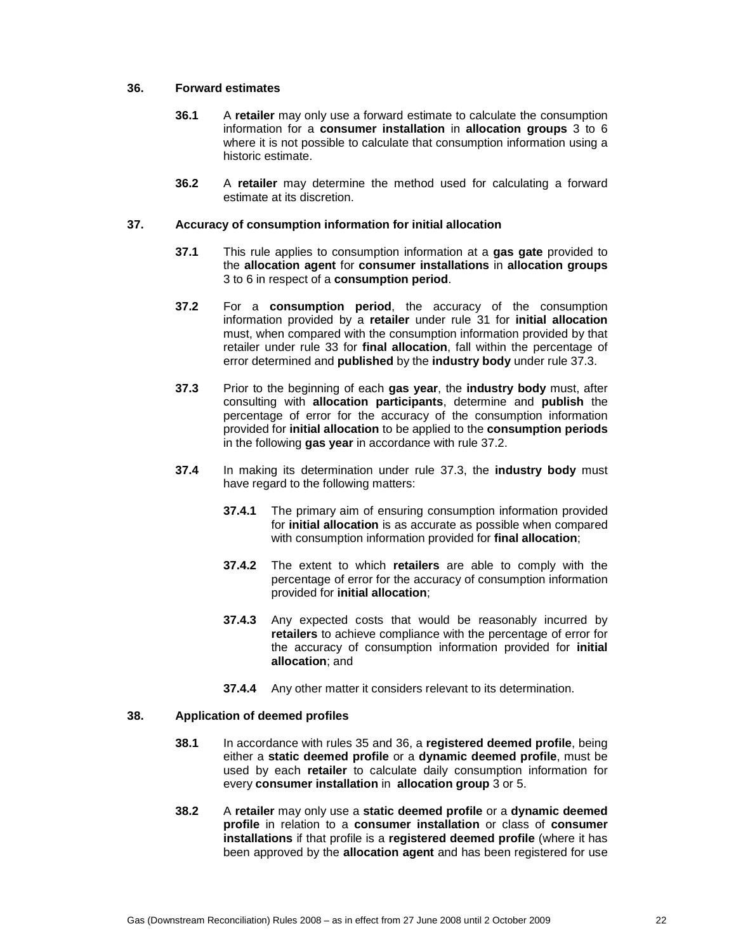### **36. Forward estimates**

- **36.1** A **retailer** may only use a forward estimate to calculate the consumption information for a **consumer installation** in **allocation groups** 3 to 6 where it is not possible to calculate that consumption information using a historic estimate.
- **36.2** A **retailer** may determine the method used for calculating a forward estimate at its discretion.

### **37. Accuracy of consumption information for initial allocation**

- **37.1** This rule applies to consumption information at a **gas gate** provided to the **allocation agent** for **consumer installations** in **allocation groups** 3 to 6 in respect of a **consumption period**.
- **37.2** For a **consumption period**, the accuracy of the consumption information provided by a **retailer** under rule 31 for **initial allocation** must, when compared with the consumption information provided by that retailer under rule 33 for **final allocation**, fall within the percentage of error determined and **published** by the **industry body** under rule 37.3.
- **37.3** Prior to the beginning of each **gas year**, the **industry body** must, after consulting with **allocation participants**, determine and **publish** the percentage of error for the accuracy of the consumption information provided for **initial allocation** to be applied to the **consumption periods**  in the following **gas year** in accordance with rule 37.2.
- **37.4** In making its determination under rule 37.3, the **industry body** must have regard to the following matters:
	- **37.4.1** The primary aim of ensuring consumption information provided for **initial allocation** is as accurate as possible when compared with consumption information provided for **final allocation**;
	- **37.4.2** The extent to which **retailers** are able to comply with the percentage of error for the accuracy of consumption information provided for **initial allocation**;
	- **37.4.3** Any expected costs that would be reasonably incurred by **retailers** to achieve compliance with the percentage of error for the accuracy of consumption information provided for **initial allocation**; and
	- **37.4.4** Any other matter it considers relevant to its determination.

### **38. Application of deemed profiles**

- **38.1** In accordance with rules 35 and 36, a **registered deemed profile**, being either a **static deemed profile** or a **dynamic deemed profile**, must be used by each **retailer** to calculate daily consumption information for every **consumer installation** in **allocation group** 3 or 5.
- **38.2** A **retailer** may only use a **static deemed profile** or a **dynamic deemed profile** in relation to a **consumer installation** or class of **consumer installations** if that profile is a **registered deemed profile** (where it has been approved by the **allocation agent** and has been registered for use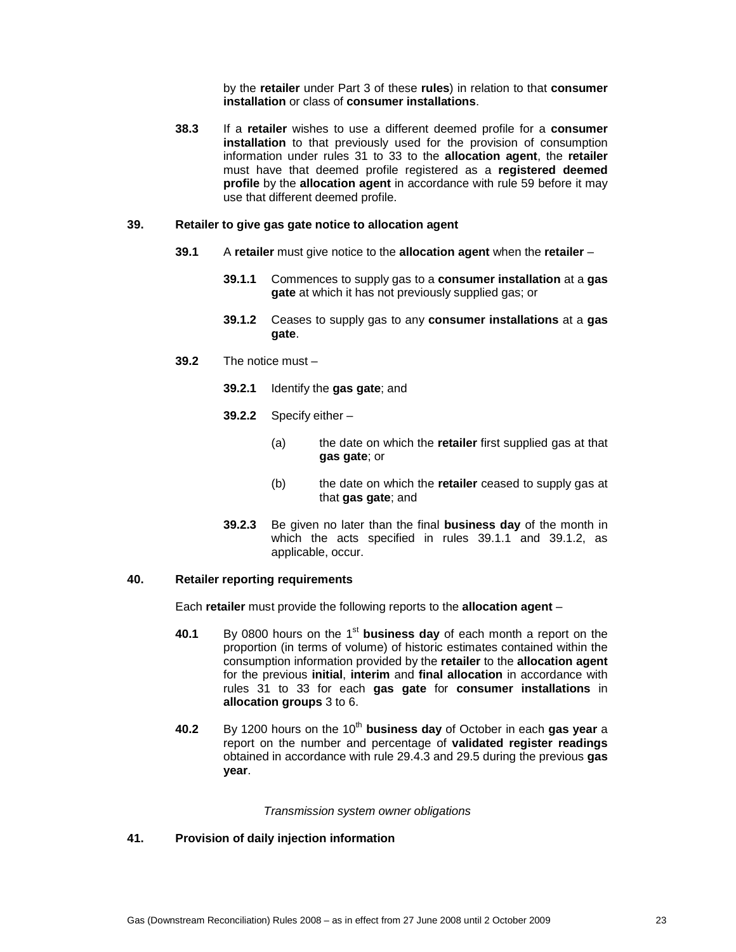by the **retailer** under Part 3 of these **rules**) in relation to that **consumer installation** or class of **consumer installations**.

**38.3** If a **retailer** wishes to use a different deemed profile for a **consumer installation** to that previously used for the provision of consumption information under rules 31 to 33 to the **allocation agent**, the **retailer** must have that deemed profile registered as a **registered deemed profile** by the **allocation agent** in accordance with rule 59 before it may use that different deemed profile.

### **39. Retailer to give gas gate notice to allocation agent**

- **39.1** A **retailer** must give notice to the **allocation agent** when the **retailer**
	- **39.1.1** Commences to supply gas to a **consumer installation** at a **gas gate** at which it has not previously supplied gas; or
	- **39.1.2** Ceases to supply gas to any **consumer installations** at a **gas gate**.
- **39.2** The notice must
	- **39.2.1** Identify the **gas gate**; and
	- **39.2.2** Specify either
		- (a) the date on which the **retailer** first supplied gas at that **gas gate**; or
		- (b) the date on which the **retailer** ceased to supply gas at that **gas gate**; and
	- **39.2.3** Be given no later than the final **business day** of the month in which the acts specified in rules 39.1.1 and 39.1.2, as applicable, occur.

# **40. Retailer reporting requirements**

Each **retailer** must provide the following reports to the **allocation agent** –

- **40.1** By 0800 hours on the 1st **business day** of each month a report on the proportion (in terms of volume) of historic estimates contained within the consumption information provided by the **retailer** to the **allocation agent** for the previous **initial**, **interim** and **final allocation** in accordance with rules 31 to 33 for each **gas gate** for **consumer installations** in **allocation groups** 3 to 6.
- **40.2** By 1200 hours on the 10<sup>th</sup> business day of October in each gas year a report on the number and percentage of **validated register readings** obtained in accordance with rule 29.4.3 and 29.5 during the previous **gas year**.

#### Transmission system owner obligations

# **41. Provision of daily injection information**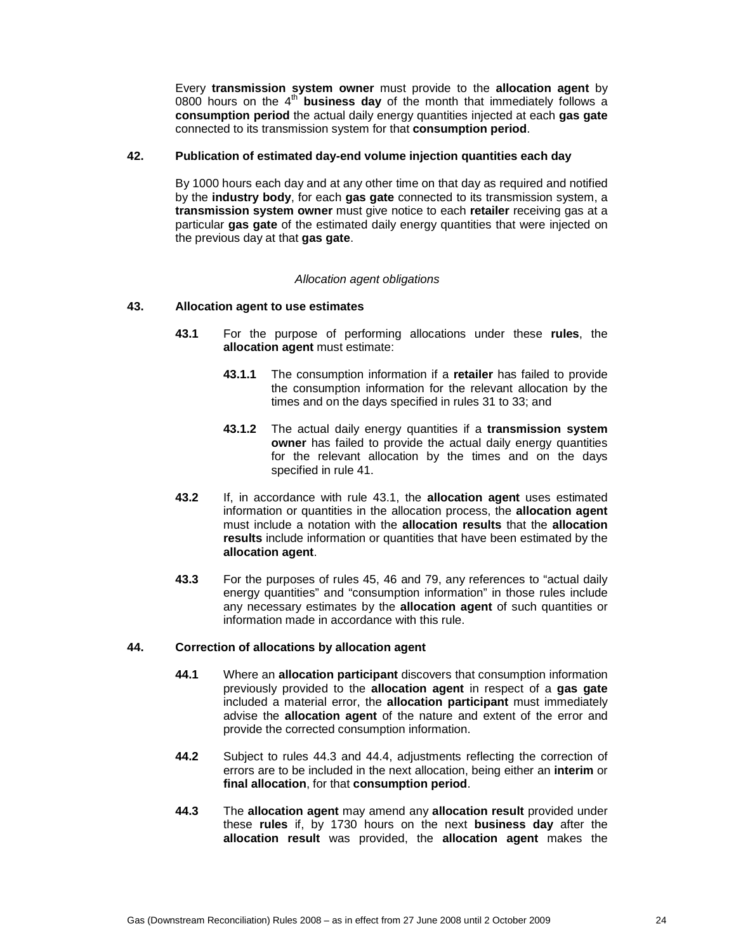Every **transmission system owner** must provide to the **allocation agent** by 0800 hours on the 4<sup>th</sup> business day of the month that immediately follows a **consumption period** the actual daily energy quantities injected at each **gas gate** connected to its transmission system for that **consumption period**.

# **42. Publication of estimated day-end volume injection quantities each day**

By 1000 hours each day and at any other time on that day as required and notified by the **industry body**, for each **gas gate** connected to its transmission system, a **transmission system owner** must give notice to each **retailer** receiving gas at a particular **gas gate** of the estimated daily energy quantities that were injected on the previous day at that **gas gate**.

#### Allocation agent obligations

### **43. Allocation agent to use estimates**

- **43.1** For the purpose of performing allocations under these **rules**, the **allocation agent** must estimate:
	- **43.1.1** The consumption information if a **retailer** has failed to provide the consumption information for the relevant allocation by the times and on the days specified in rules 31 to 33; and
	- **43.1.2** The actual daily energy quantities if a **transmission system owner** has failed to provide the actual daily energy quantities for the relevant allocation by the times and on the days specified in rule 41.
- **43.2** If, in accordance with rule 43.1, the **allocation agent** uses estimated information or quantities in the allocation process, the **allocation agent** must include a notation with the **allocation results** that the **allocation results** include information or quantities that have been estimated by the **allocation agent**.
- **43.3** For the purposes of rules 45, 46 and 79, any references to "actual daily energy quantities" and "consumption information" in those rules include any necessary estimates by the **allocation agent** of such quantities or information made in accordance with this rule.

#### **44. Correction of allocations by allocation agent**

- **44.1** Where an **allocation participant** discovers that consumption information previously provided to the **allocation agent** in respect of a **gas gate** included a material error, the **allocation participant** must immediately advise the **allocation agent** of the nature and extent of the error and provide the corrected consumption information.
- **44.2** Subject to rules 44.3 and 44.4, adjustments reflecting the correction of errors are to be included in the next allocation, being either an **interim** or **final allocation**, for that **consumption period**.
- **44.3** The **allocation agent** may amend any **allocation result** provided under these **rules** if, by 1730 hours on the next **business day** after the **allocation result** was provided, the **allocation agent** makes the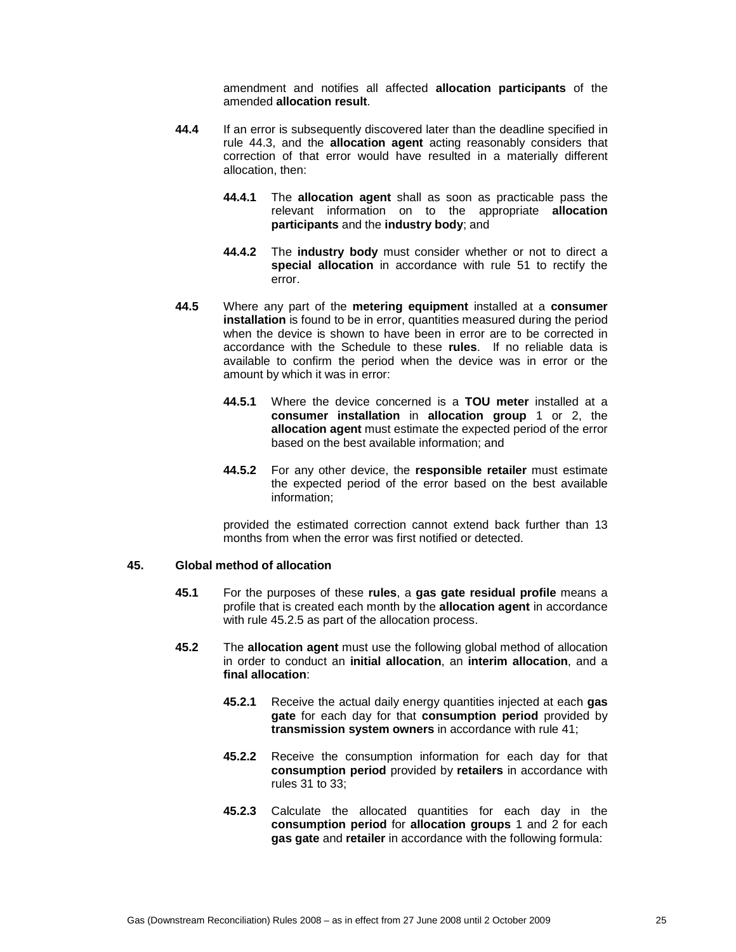amendment and notifies all affected **allocation participants** of the amended **allocation result**.

- **44.4** If an error is subsequently discovered later than the deadline specified in rule 44.3, and the **allocation agent** acting reasonably considers that correction of that error would have resulted in a materially different allocation, then:
	- **44.4.1** The **allocation agent** shall as soon as practicable pass the relevant information on to the appropriate **allocation participants** and the **industry body**; and
	- **44.4.2** The **industry body** must consider whether or not to direct a **special allocation** in accordance with rule 51 to rectify the error.
- **44.5** Where any part of the **metering equipment** installed at a **consumer installation** is found to be in error, quantities measured during the period when the device is shown to have been in error are to be corrected in accordance with the Schedule to these **rules**. If no reliable data is available to confirm the period when the device was in error or the amount by which it was in error:
	- **44.5.1** Where the device concerned is a **TOU meter** installed at a **consumer installation** in **allocation group** 1 or 2, the **allocation agent** must estimate the expected period of the error based on the best available information; and
	- **44.5.2** For any other device, the **responsible retailer** must estimate the expected period of the error based on the best available information;

provided the estimated correction cannot extend back further than 13 months from when the error was first notified or detected.

# **45. Global method of allocation**

- **45.1** For the purposes of these **rules**, a **gas gate residual profile** means a profile that is created each month by the **allocation agent** in accordance with rule 45.2.5 as part of the allocation process.
- **45.2** The **allocation agent** must use the following global method of allocation in order to conduct an **initial allocation**, an **interim allocation**, and a **final allocation**:
	- **45.2.1** Receive the actual daily energy quantities injected at each **gas gate** for each day for that **consumption period** provided by **transmission system owners** in accordance with rule 41;
	- **45.2.2** Receive the consumption information for each day for that **consumption period** provided by **retailers** in accordance with rules 31 to 33;
	- **45.2.3** Calculate the allocated quantities for each day in the **consumption period** for **allocation groups** 1 and 2 for each **gas gate** and **retailer** in accordance with the following formula: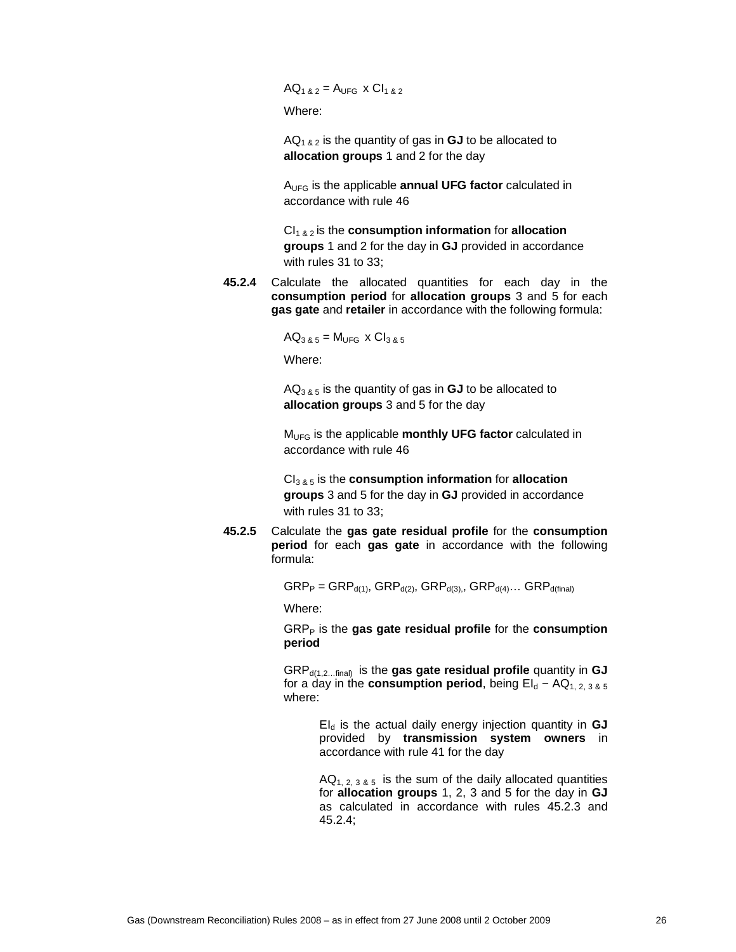$AQ_{1,8,2} = A_{UFG} \times C1_{1,8,2}$ 

Where:

 $AQ<sub>1 & 2</sub>$  is the quantity of gas in **GJ** to be allocated to **allocation groups** 1 and 2 for the day

AUFG is the applicable **annual UFG factor** calculated in accordance with rule 46

CI1 & 2 is the **consumption information** for **allocation groups** 1 and 2 for the day in **GJ** provided in accordance with rules 31 to 33;

**45.2.4** Calculate the allocated quantities for each day in the **consumption period** for **allocation groups** 3 and 5 for each **gas gate** and **retailer** in accordance with the following formula:

 $AQ_{3,8,5} = M_{UFG} \times Cl_{3,8,5}$ 

Where:

 $AQ_{3,8,5}$  is the quantity of gas in **GJ** to be allocated to **allocation groups** 3 and 5 for the day

MUFG is the applicable **monthly UFG factor** calculated in accordance with rule 46

CI3 & 5 is the **consumption information** for **allocation groups** 3 and 5 for the day in **GJ** provided in accordance with rules 31 to 33;

**45.2.5** Calculate the **gas gate residual profile** for the **consumption period** for each **gas gate** in accordance with the following formula:

 $GRP_P = GRP_{d(1)}$ ,  $GRP_{d(2)}$ ,  $GRP_{d(3)}$ ,  $GRP_{d(4)}$ ...  $GRP_{d(final)}$ 

Where:

GRP<sub>P</sub> is the gas gate residual profile for the consumption **period**

GRPd(1,2…final) is the **gas gate residual profile** quantity in **GJ** for a day in the **consumption period**, being  $EI_d - AQ_{1, 2, 3, 8, 5}$ where:

> EId is the actual daily energy injection quantity in **GJ** provided by **transmission system owners** in accordance with rule 41 for the day

> $AQ_{1, 2, 3, 8, 5}$  is the sum of the daily allocated quantities for **allocation groups** 1, 2, 3 and 5 for the day in **GJ** as calculated in accordance with rules 45.2.3 and 45.2.4;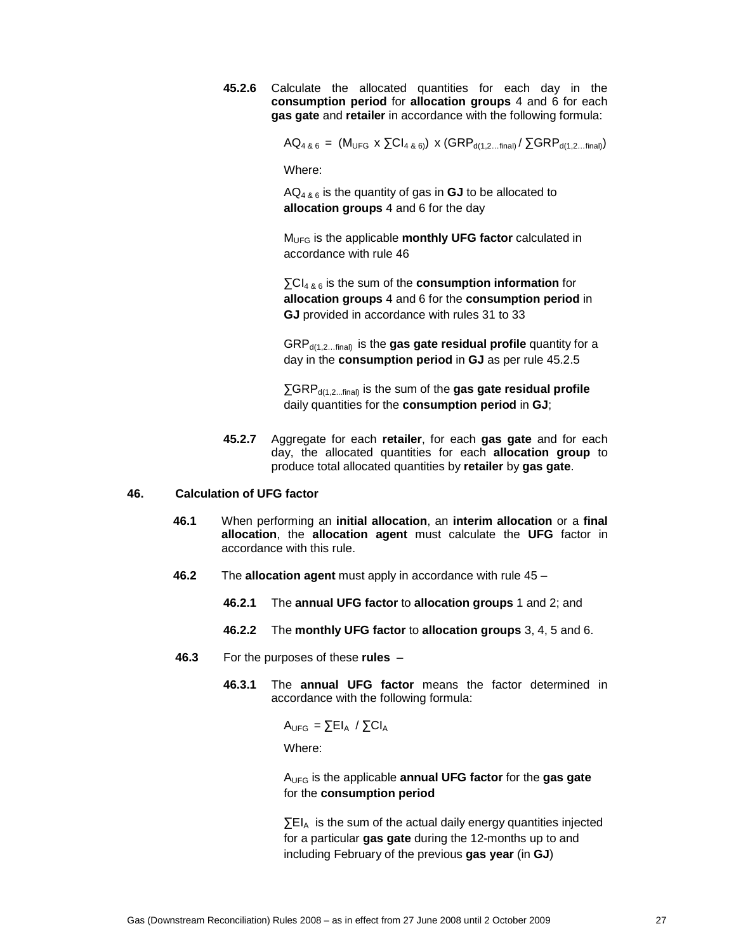**45.2.6** Calculate the allocated quantities for each day in the **consumption period** for **allocation groups** 4 and 6 for each **gas gate** and **retailer** in accordance with the following formula:

 $AQ_{4, 8, 6} = (M_{UFG} \times \Sigma Cl_{4, 8, 6}) \times (GRP_{d(1, 2...final)} / \Sigma GRP_{d(1, 2...final)})$ 

Where:

AQ4 & 6 is the quantity of gas in **GJ** to be allocated to **allocation groups** 4 and 6 for the day

MUFG is the applicable **monthly UFG factor** calculated in accordance with rule 46

∑CI4 & 6 is the sum of the **consumption information** for **allocation groups** 4 and 6 for the **consumption period** in **GJ** provided in accordance with rules 31 to 33

GRP<sub>d(1,2,,,final)</sub> is the gas gate residual profile quantity for a day in the **consumption period** in **GJ** as per rule 45.2.5

∑GRP<sub>d(1,2...final)</sub> is the sum of the gas gate residual profile daily quantities for the **consumption period** in **GJ**;

**45.2.7** Aggregate for each **retailer**, for each **gas gate** and for each day, the allocated quantities for each **allocation group** to produce total allocated quantities by **retailer** by **gas gate**.

### **46. Calculation of UFG factor**

- **46.1** When performing an **initial allocation**, an **interim allocation** or a **final allocation**, the **allocation agent** must calculate the **UFG** factor in accordance with this rule.
- **46.2** The **allocation agent** must apply in accordance with rule 45
	- **46.2.1** The **annual UFG factor** to **allocation groups** 1 and 2; and
	- **46.2.2** The **monthly UFG factor** to **allocation groups** 3, 4, 5 and 6.
- **46.3** For the purposes of these **rules**
	- **46.3.1** The **annual UFG factor** means the factor determined in accordance with the following formula:

 $A_{UFG} = \sum E I_A / \sum C I_A$ 

Where:

AUFG is the applicable **annual UFG factor** for the **gas gate**  for the **consumption period**

∑EIA is the sum of the actual daily energy quantities injected for a particular **gas gate** during the 12-months up to and including February of the previous **gas year** (in **GJ**)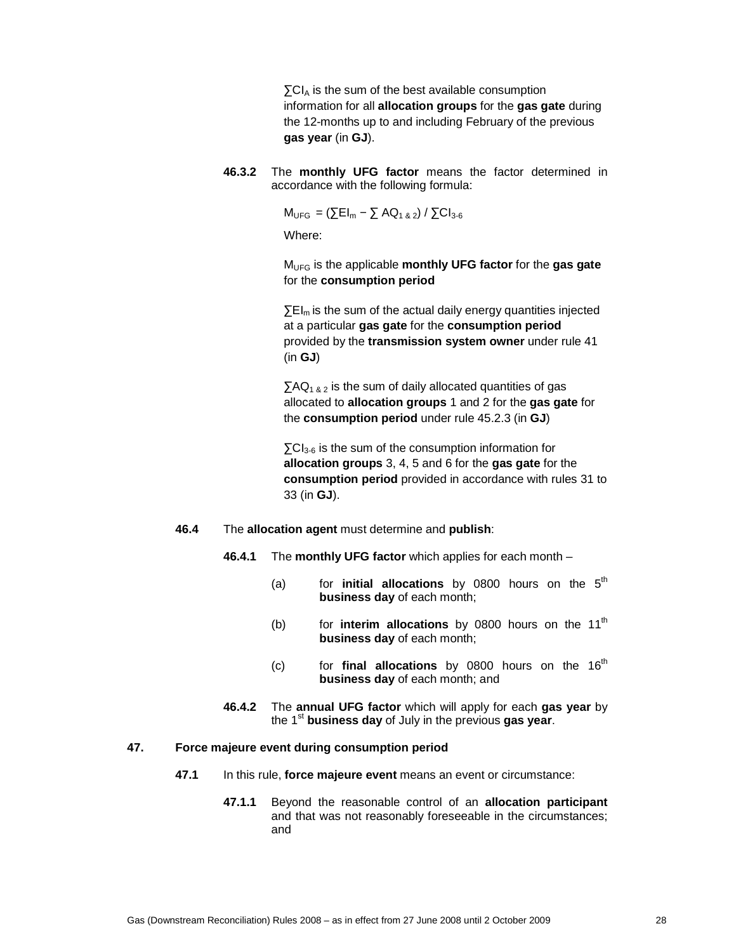$\sum C I_A$  is the sum of the best available consumption information for all **allocation groups** for the **gas gate** during the 12-months up to and including February of the previous **gas year** (in **GJ**).

**46.3.2** The **monthly UFG factor** means the factor determined in accordance with the following formula:

 $M_{UFG} = (\sum El_m - \sum AQ_{1\,8\,2}) / \sum Cl_{3-6}$ 

Where:

MUFG is the applicable **monthly UFG factor** for the **gas gate**  for the **consumption period**

 $\Sigma E I_m$  is the sum of the actual daily energy quantities injected at a particular **gas gate** for the **consumption period** provided by the **transmission system owner** under rule 41 (in **GJ**)

 $\sum AQ_{1,8,2}$  is the sum of daily allocated quantities of gas allocated to **allocation groups** 1 and 2 for the **gas gate** for the **consumption period** under rule 45.2.3 (in **GJ**)

 $\Sigma$ CI<sub>3-6</sub> is the sum of the consumption information for **allocation groups** 3, 4, 5 and 6 for the **gas gate** for the **consumption period** provided in accordance with rules 31 to 33 (in **GJ**).

- **46.4** The **allocation agent** must determine and **publish**:
	- **46.4.1** The **monthly UFG factor** which applies for each month
		- (a) for **initial allocations** by  $0800$  hours on the  $5<sup>th</sup>$ **business day** of each month;
		- (b) for **interim allocations** by 0800 hours on the 11<sup>th</sup> **business day** of each month;
		- $(c)$  for **final allocations** by 0800 hours on the 16<sup>th</sup> **business day** of each month; and
	- **46.4.2** The **annual UFG factor** which will apply for each **gas year** by the 1<sup>st</sup> business day of July in the previous gas year.

# **47. Force majeure event during consumption period**

- **47.1** In this rule, **force majeure event** means an event or circumstance:
	- **47.1.1** Beyond the reasonable control of an **allocation participant** and that was not reasonably foreseeable in the circumstances; and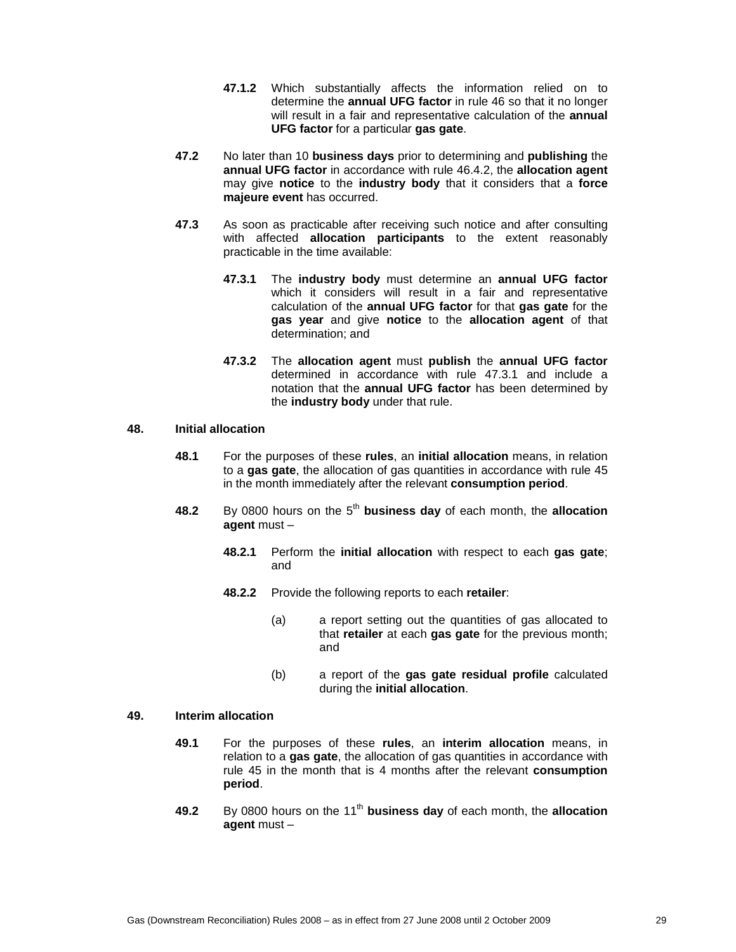- **47.1.2** Which substantially affects the information relied on to determine the **annual UFG factor** in rule 46 so that it no longer will result in a fair and representative calculation of the **annual UFG factor** for a particular **gas gate**.
- **47.2** No later than 10 **business days** prior to determining and **publishing** the **annual UFG factor** in accordance with rule 46.4.2, the **allocation agent** may give **notice** to the **industry body** that it considers that a **force majeure event** has occurred.
- **47.3** As soon as practicable after receiving such notice and after consulting with affected **allocation participants** to the extent reasonably practicable in the time available:
	- **47.3.1** The **industry body** must determine an **annual UFG factor** which it considers will result in a fair and representative calculation of the **annual UFG factor** for that **gas gate** for the **gas year** and give **notice** to the **allocation agent** of that determination; and
	- **47.3.2** The **allocation agent** must **publish** the **annual UFG factor** determined in accordance with rule 47.3.1 and include a notation that the **annual UFG factor** has been determined by the **industry body** under that rule.

### **48. Initial allocation**

- **48.1** For the purposes of these **rules**, an **initial allocation** means, in relation to a **gas gate**, the allocation of gas quantities in accordance with rule 45 in the month immediately after the relevant **consumption period**.
- **48.2** By 0800 hours on the 5<sup>th</sup> business day of each month, the allocation **agent** must –
	- **48.2.1** Perform the **initial allocation** with respect to each **gas gate**; and
	- **48.2.2** Provide the following reports to each **retailer**:
		- (a) a report setting out the quantities of gas allocated to that **retailer** at each **gas gate** for the previous month; and
		- (b) a report of the **gas gate residual profile** calculated during the **initial allocation**.

# **49. Interim allocation**

- **49.1** For the purposes of these **rules**, an **interim allocation** means, in relation to a **gas gate**, the allocation of gas quantities in accordance with rule 45 in the month that is 4 months after the relevant **consumption period**.
- **49.2** By 0800 hours on the 11<sup>th</sup> business day of each month, the allocation **agent** must –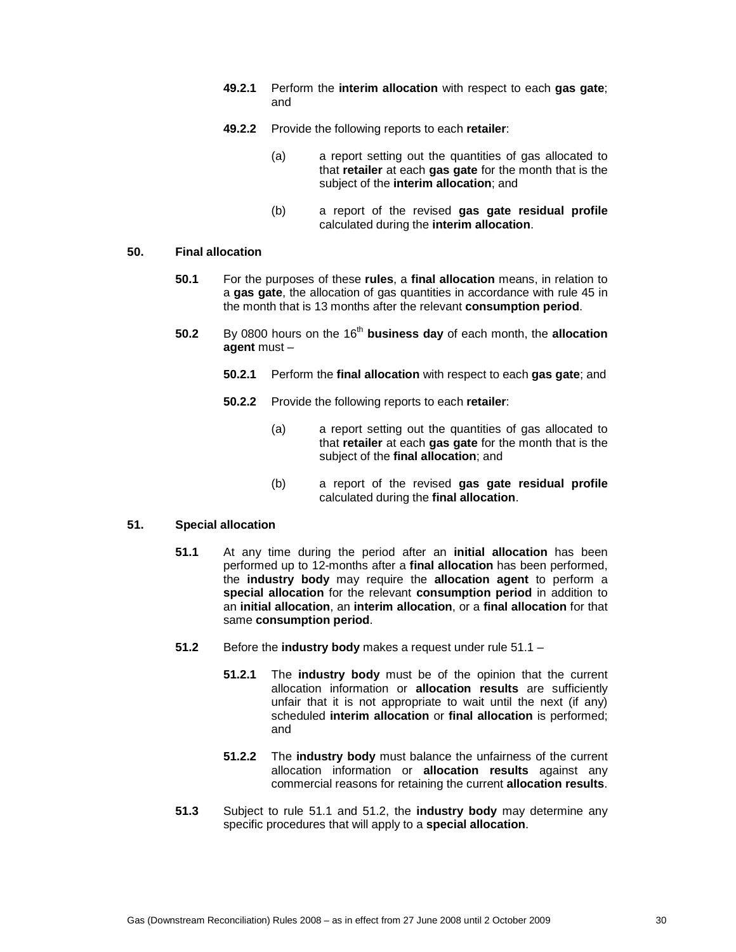- **49.2.1** Perform the **interim allocation** with respect to each **gas gate**; and
- **49.2.2** Provide the following reports to each **retailer**:
	- (a) a report setting out the quantities of gas allocated to that **retailer** at each **gas gate** for the month that is the subject of the **interim allocation**; and
	- (b) a report of the revised **gas gate residual profile** calculated during the **interim allocation**.

# **50. Final allocation**

- **50.1** For the purposes of these **rules**, a **final allocation** means, in relation to a **gas gate**, the allocation of gas quantities in accordance with rule 45 in the month that is 13 months after the relevant **consumption period**.
- **50.2** By 0800 hours on the 16<sup>th</sup> business day of each month, the allocation **agent** must –
	- **50.2.1** Perform the **final allocation** with respect to each **gas gate**; and
	- **50.2.2** Provide the following reports to each **retailer**:
		- (a) a report setting out the quantities of gas allocated to that **retailer** at each **gas gate** for the month that is the subject of the **final allocation**; and
		- (b) a report of the revised **gas gate residual profile** calculated during the **final allocation**.

# **51. Special allocation**

- **51.1** At any time during the period after an **initial allocation** has been performed up to 12-months after a **final allocation** has been performed, the **industry body** may require the **allocation agent** to perform a **special allocation** for the relevant **consumption period** in addition to an **initial allocation**, an **interim allocation**, or a **final allocation** for that same **consumption period**.
- **51.2** Before the **industry body** makes a request under rule 51.1
	- **51.2.1** The **industry body** must be of the opinion that the current allocation information or **allocation results** are sufficiently unfair that it is not appropriate to wait until the next (if any) scheduled **interim allocation** or **final allocation** is performed; and
	- **51.2.2** The **industry body** must balance the unfairness of the current allocation information or **allocation results** against any commercial reasons for retaining the current **allocation results**.
- **51.3** Subject to rule 51.1 and 51.2, the **industry body** may determine any specific procedures that will apply to a **special allocation**.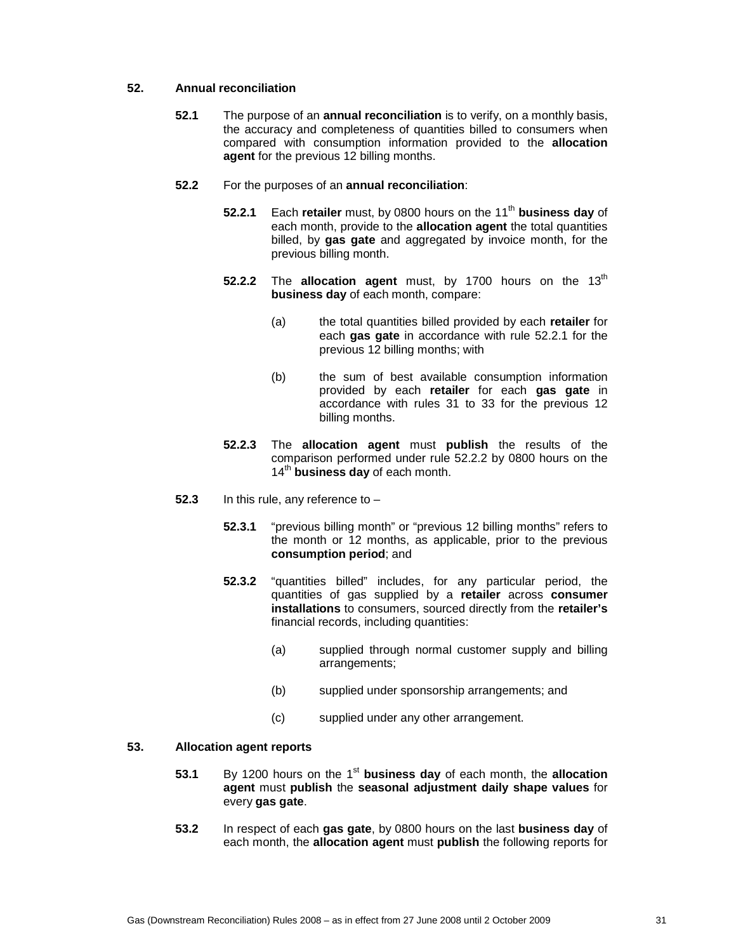# **52. Annual reconciliation**

- **52.1** The purpose of an **annual reconciliation** is to verify, on a monthly basis, the accuracy and completeness of quantities billed to consumers when compared with consumption information provided to the **allocation agent** for the previous 12 billing months.
- **52.2** For the purposes of an **annual reconciliation**:
	- **52.2.1** Each **retailer** must, by 0800 hours on the 11<sup>th</sup> business day of each month, provide to the **allocation agent** the total quantities billed, by **gas gate** and aggregated by invoice month, for the previous billing month.
	- **52.2.2** The **allocation agent** must, by 1700 hours on the 13<sup>th</sup> **business day** of each month, compare:
		- (a) the total quantities billed provided by each **retailer** for each **gas gate** in accordance with rule 52.2.1 for the previous 12 billing months; with
		- (b) the sum of best available consumption information provided by each **retailer** for each **gas gate** in accordance with rules 31 to 33 for the previous 12 billing months.
	- **52.2.3** The **allocation agent** must **publish** the results of the comparison performed under rule 52.2.2 by 0800 hours on the 14<sup>th</sup> business day of each month.
- **52.3** In this rule, any reference to
	- **52.3.1** "previous billing month" or "previous 12 billing months" refers to the month or 12 months, as applicable, prior to the previous **consumption period**; and
	- **52.3.2** "quantities billed" includes, for any particular period, the quantities of gas supplied by a **retailer** across **consumer installations** to consumers, sourced directly from the **retailer's**  financial records, including quantities:
		- (a) supplied through normal customer supply and billing arrangements;
		- (b) supplied under sponsorship arrangements; and
		- (c) supplied under any other arrangement.

# **53. Allocation agent reports**

- **53.1** By 1200 hours on the 1<sup>st</sup> business day of each month, the allocation **agent** must **publish** the **seasonal adjustment daily shape values** for every **gas gate**.
- **53.2** In respect of each **gas gate**, by 0800 hours on the last **business day** of each month, the **allocation agent** must **publish** the following reports for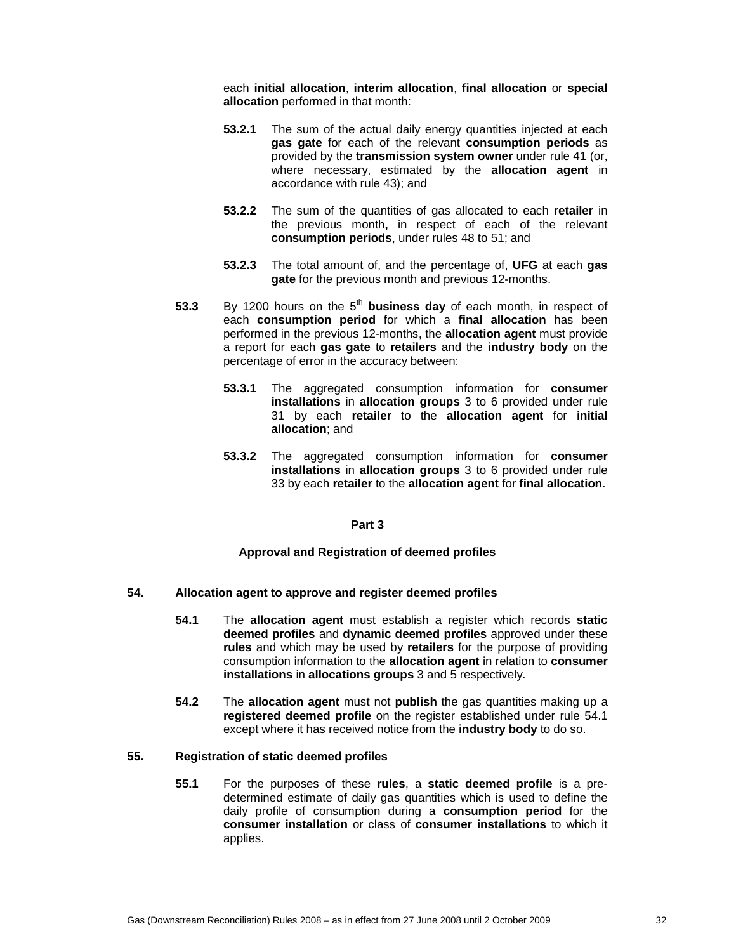each **initial allocation**, **interim allocation**, **final allocation** or **special allocation** performed in that month:

- **53.2.1** The sum of the actual daily energy quantities injected at each **gas gate** for each of the relevant **consumption periods** as provided by the **transmission system owner** under rule 41 (or, where necessary, estimated by the **allocation agent** in accordance with rule 43); and
- **53.2.2** The sum of the quantities of gas allocated to each **retailer** in the previous month**,** in respect of each of the relevant **consumption periods**, under rules 48 to 51; and
- **53.2.3** The total amount of, and the percentage of, **UFG** at each **gas gate** for the previous month and previous 12-months.
- **53.3** By 1200 hours on the 5<sup>th</sup> business day of each month, in respect of each **consumption period** for which a **final allocation** has been performed in the previous 12-months, the **allocation agent** must provide a report for each **gas gate** to **retailers** and the **industry body** on the percentage of error in the accuracy between:
	- **53.3.1** The aggregated consumption information for **consumer installations** in **allocation groups** 3 to 6 provided under rule 31 by each **retailer** to the **allocation agent** for **initial allocation**; and
	- **53.3.2** The aggregated consumption information for **consumer installations** in **allocation groups** 3 to 6 provided under rule 33 by each **retailer** to the **allocation agent** for **final allocation**.

### **Part 3**

# **Approval and Registration of deemed profiles**

# **54. Allocation agent to approve and register deemed profiles**

- **54.1** The **allocation agent** must establish a register which records **static deemed profiles** and **dynamic deemed profiles** approved under these **rules** and which may be used by **retailers** for the purpose of providing consumption information to the **allocation agent** in relation to **consumer installations** in **allocations groups** 3 and 5 respectively.
- **54.2** The **allocation agent** must not **publish** the gas quantities making up a **registered deemed profile** on the register established under rule 54.1 except where it has received notice from the **industry body** to do so.

### **55. Registration of static deemed profiles**

**55.1** For the purposes of these **rules**, a **static deemed profile** is a predetermined estimate of daily gas quantities which is used to define the daily profile of consumption during a **consumption period** for the **consumer installation** or class of **consumer installations** to which it applies.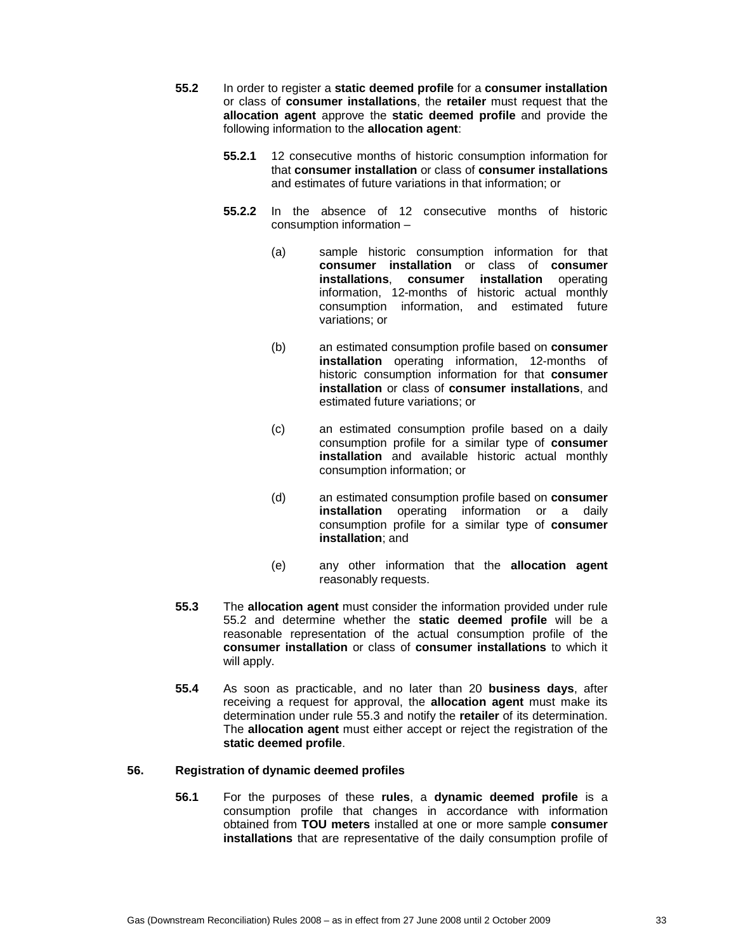- **55.2** In order to register a **static deemed profile** for a **consumer installation** or class of **consumer installations**, the **retailer** must request that the **allocation agent** approve the **static deemed profile** and provide the following information to the **allocation agent**:
	- **55.2.1** 12 consecutive months of historic consumption information for that **consumer installation** or class of **consumer installations** and estimates of future variations in that information; or
	- **55.2.2** In the absence of 12 consecutive months of historic consumption information –
		- (a) sample historic consumption information for that **consumer installation** or class of **consumer installations**, **consumer installation** operating information, 12-months of historic actual monthly consumption information, and estimated future variations; or
		- (b) an estimated consumption profile based on **consumer installation** operating information, 12-months of historic consumption information for that **consumer installation** or class of **consumer installations**, and estimated future variations; or
		- (c) an estimated consumption profile based on a daily consumption profile for a similar type of **consumer installation** and available historic actual monthly consumption information; or
		- (d) an estimated consumption profile based on **consumer installation** operating information or a daily consumption profile for a similar type of **consumer installation**; and
		- (e) any other information that the **allocation agent** reasonably requests.
- **55.3** The **allocation agent** must consider the information provided under rule 55.2 and determine whether the **static deemed profile** will be a reasonable representation of the actual consumption profile of the **consumer installation** or class of **consumer installations** to which it will apply.
- **55.4** As soon as practicable, and no later than 20 **business days**, after receiving a request for approval, the **allocation agent** must make its determination under rule 55.3 and notify the **retailer** of its determination. The **allocation agent** must either accept or reject the registration of the **static deemed profile**.

# **56. Registration of dynamic deemed profiles**

**56.1** For the purposes of these **rules**, a **dynamic deemed profile** is a consumption profile that changes in accordance with information obtained from **TOU meters** installed at one or more sample **consumer installations** that are representative of the daily consumption profile of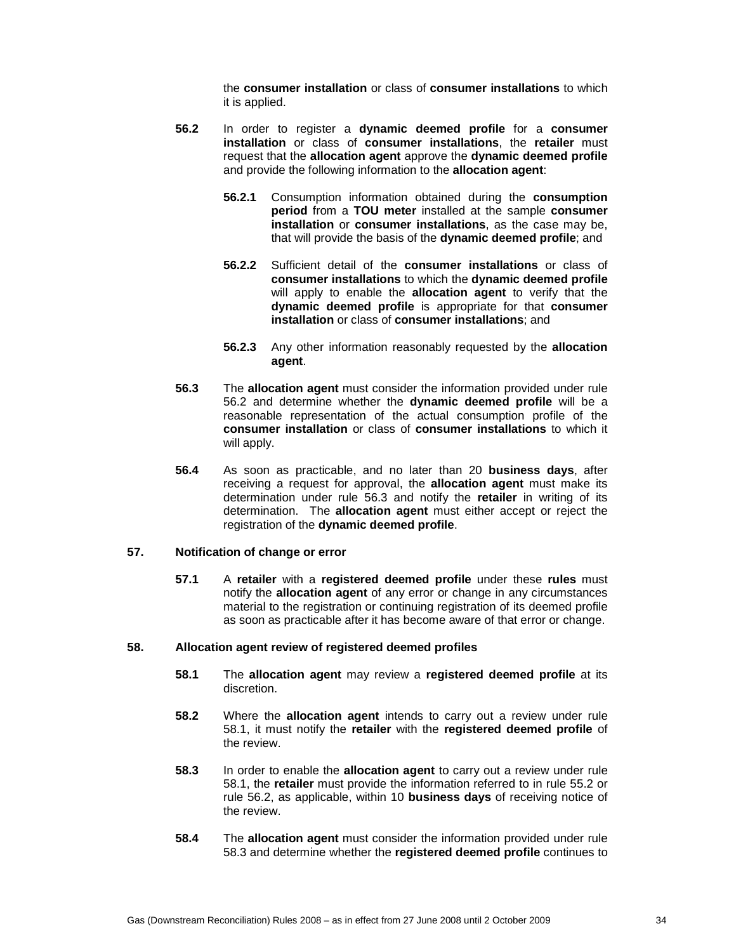the **consumer installation** or class of **consumer installations** to which it is applied.

- **56.2** In order to register a **dynamic deemed profile** for a **consumer installation** or class of **consumer installations**, the **retailer** must request that the **allocation agent** approve the **dynamic deemed profile** and provide the following information to the **allocation agent**:
	- **56.2.1** Consumption information obtained during the **consumption period** from a **TOU meter** installed at the sample **consumer installation** or **consumer installations**, as the case may be, that will provide the basis of the **dynamic deemed profile**; and
	- **56.2.2** Sufficient detail of the **consumer installations** or class of **consumer installations** to which the **dynamic deemed profile** will apply to enable the **allocation agent** to verify that the **dynamic deemed profile** is appropriate for that **consumer installation** or class of **consumer installations**; and
	- **56.2.3** Any other information reasonably requested by the **allocation agent**.
- **56.3** The **allocation agent** must consider the information provided under rule 56.2 and determine whether the **dynamic deemed profile** will be a reasonable representation of the actual consumption profile of the **consumer installation** or class of **consumer installations** to which it will apply.
- **56.4** As soon as practicable, and no later than 20 **business days**, after receiving a request for approval, the **allocation agent** must make its determination under rule 56.3 and notify the **retailer** in writing of its determination. The **allocation agent** must either accept or reject the registration of the **dynamic deemed profile**.

# **57. Notification of change or error**

**57.1** A **retailer** with a **registered deemed profile** under these **rules** must notify the **allocation agent** of any error or change in any circumstances material to the registration or continuing registration of its deemed profile as soon as practicable after it has become aware of that error or change.

#### **58. Allocation agent review of registered deemed profiles**

- **58.1** The **allocation agent** may review a **registered deemed profile** at its discretion.
- **58.2** Where the **allocation agent** intends to carry out a review under rule 58.1, it must notify the **retailer** with the **registered deemed profile** of the review.
- **58.3** In order to enable the **allocation agent** to carry out a review under rule 58.1, the **retailer** must provide the information referred to in rule 55.2 or rule 56.2, as applicable, within 10 **business days** of receiving notice of the review.
- **58.4** The **allocation agent** must consider the information provided under rule 58.3 and determine whether the **registered deemed profile** continues to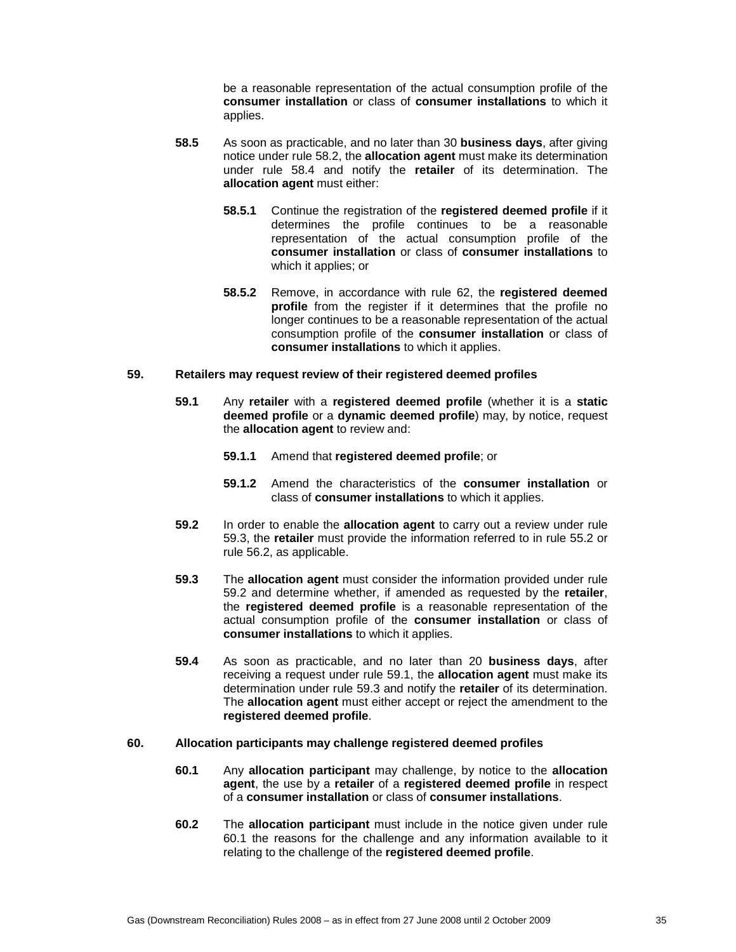be a reasonable representation of the actual consumption profile of the **consumer installation** or class of **consumer installations** to which it applies.

- **58.5** As soon as practicable, and no later than 30 **business days**, after giving notice under rule 58.2, the **allocation agent** must make its determination under rule 58.4 and notify the **retailer** of its determination. The **allocation agent** must either:
	- **58.5.1** Continue the registration of the **registered deemed profile** if it determines the profile continues to be a reasonable representation of the actual consumption profile of the **consumer installation** or class of **consumer installations** to which it applies; or
	- **58.5.2** Remove, in accordance with rule 62, the **registered deemed profile** from the register if it determines that the profile no longer continues to be a reasonable representation of the actual consumption profile of the **consumer installation** or class of **consumer installations** to which it applies.

#### **59. Retailers may request review of their registered deemed profiles**

- **59.1** Any **retailer** with a **registered deemed profile** (whether it is a **static deemed profile** or a **dynamic deemed profile**) may, by notice, request the **allocation agent** to review and:
	- **59.1.1** Amend that **registered deemed profile**; or
	- **59.1.2** Amend the characteristics of the **consumer installation** or class of **consumer installations** to which it applies.
- **59.2** In order to enable the **allocation agent** to carry out a review under rule 59.3, the **retailer** must provide the information referred to in rule 55.2 or rule 56.2, as applicable.
- **59.3** The **allocation agent** must consider the information provided under rule 59.2 and determine whether, if amended as requested by the **retailer**, the **registered deemed profile** is a reasonable representation of the actual consumption profile of the **consumer installation** or class of **consumer installations** to which it applies.
- **59.4** As soon as practicable, and no later than 20 **business days**, after receiving a request under rule 59.1, the **allocation agent** must make its determination under rule 59.3 and notify the **retailer** of its determination. The **allocation agent** must either accept or reject the amendment to the **registered deemed profile**.

### **60. Allocation participants may challenge registered deemed profiles**

- **60.1** Any **allocation participant** may challenge, by notice to the **allocation agent**, the use by a **retailer** of a **registered deemed profile** in respect of a **consumer installation** or class of **consumer installations**.
- **60.2** The **allocation participant** must include in the notice given under rule 60.1 the reasons for the challenge and any information available to it relating to the challenge of the **registered deemed profile**.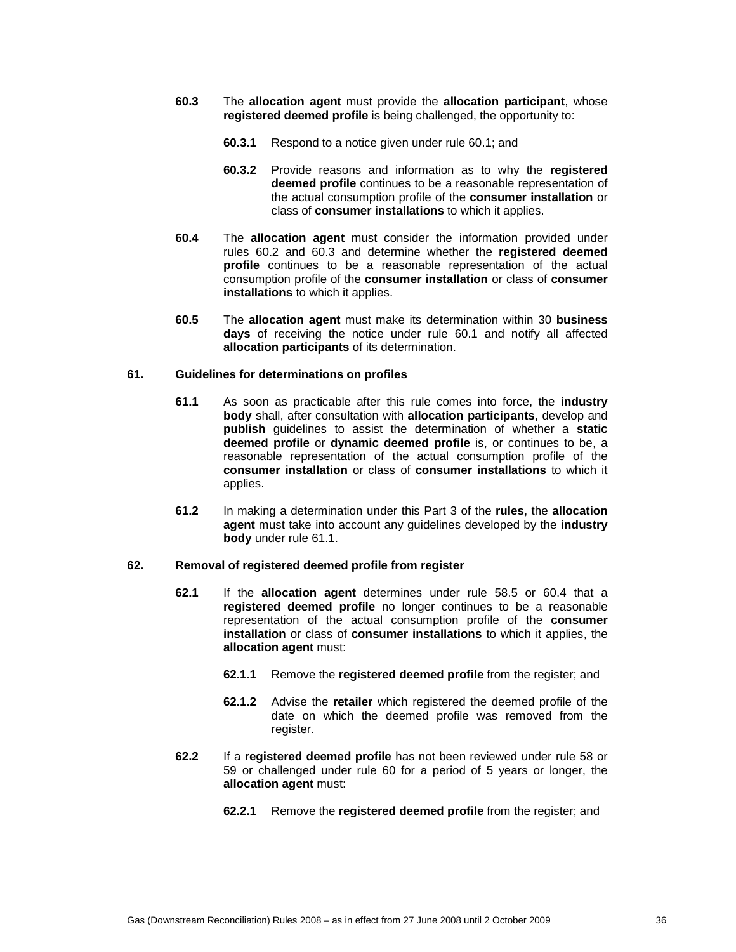- **60.3** The **allocation agent** must provide the **allocation participant**, whose **registered deemed profile** is being challenged, the opportunity to:
	- **60.3.1** Respond to a notice given under rule 60.1; and
	- **60.3.2** Provide reasons and information as to why the **registered deemed profile** continues to be a reasonable representation of the actual consumption profile of the **consumer installation** or class of **consumer installations** to which it applies.
- **60.4** The **allocation agent** must consider the information provided under rules 60.2 and 60.3 and determine whether the **registered deemed profile** continues to be a reasonable representation of the actual consumption profile of the **consumer installation** or class of **consumer installations** to which it applies.
- **60.5** The **allocation agent** must make its determination within 30 **business days** of receiving the notice under rule 60.1 and notify all affected **allocation participants** of its determination.

### **61. Guidelines for determinations on profiles**

- **61.1** As soon as practicable after this rule comes into force, the **industry body** shall, after consultation with **allocation participants**, develop and **publish** guidelines to assist the determination of whether a **static deemed profile** or **dynamic deemed profile** is, or continues to be, a reasonable representation of the actual consumption profile of the **consumer installation** or class of **consumer installations** to which it applies.
- **61.2** In making a determination under this Part 3 of the **rules**, the **allocation agent** must take into account any guidelines developed by the **industry body** under rule 61.1.

### **62. Removal of registered deemed profile from register**

- **62.1** If the **allocation agent** determines under rule 58.5 or 60.4 that a **registered deemed profile** no longer continues to be a reasonable representation of the actual consumption profile of the **consumer installation** or class of **consumer installations** to which it applies, the **allocation agent** must:
	- **62.1.1** Remove the **registered deemed profile** from the register; and
	- **62.1.2** Advise the **retailer** which registered the deemed profile of the date on which the deemed profile was removed from the register.
- **62.2** If a **registered deemed profile** has not been reviewed under rule 58 or 59 or challenged under rule 60 for a period of 5 years or longer, the **allocation agent** must:
	- **62.2.1** Remove the **registered deemed profile** from the register; and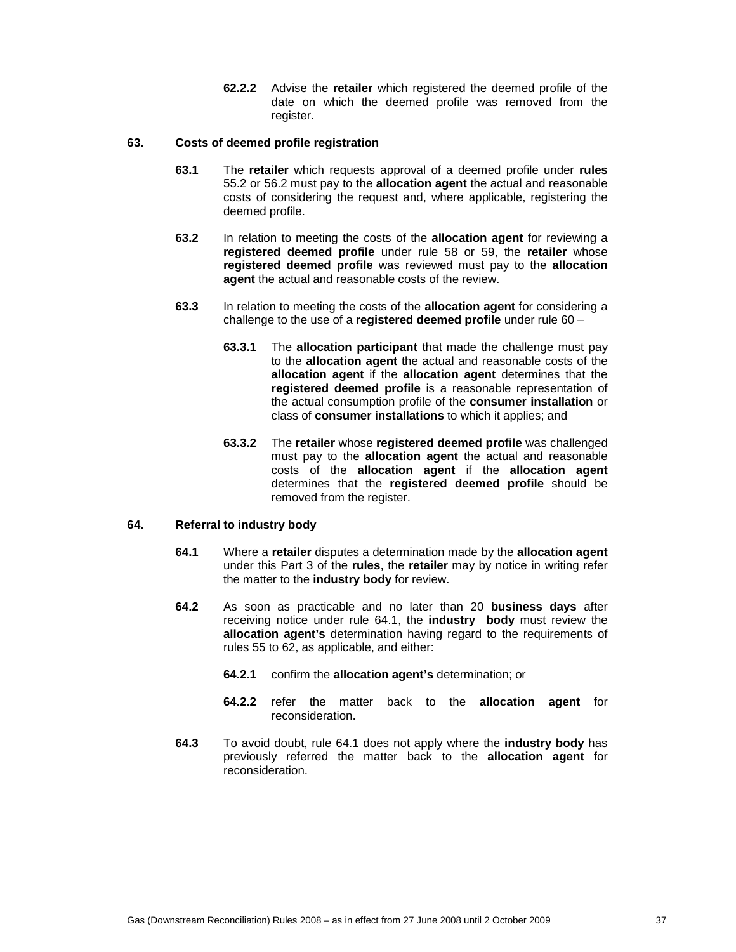**62.2.2** Advise the **retailer** which registered the deemed profile of the date on which the deemed profile was removed from the register.

# **63. Costs of deemed profile registration**

- **63.1** The **retailer** which requests approval of a deemed profile under **rules** 55.2 or 56.2 must pay to the **allocation agent** the actual and reasonable costs of considering the request and, where applicable, registering the deemed profile.
- **63.2** In relation to meeting the costs of the **allocation agent** for reviewing a **registered deemed profile** under rule 58 or 59, the **retailer** whose **registered deemed profile** was reviewed must pay to the **allocation agent** the actual and reasonable costs of the review.
- **63.3** In relation to meeting the costs of the **allocation agent** for considering a challenge to the use of a **registered deemed profile** under rule 60 –
	- **63.3.1** The **allocation participant** that made the challenge must pay to the **allocation agent** the actual and reasonable costs of the **allocation agent** if the **allocation agent** determines that the **registered deemed profile** is a reasonable representation of the actual consumption profile of the **consumer installation** or class of **consumer installations** to which it applies; and
	- **63.3.2** The **retailer** whose **registered deemed profile** was challenged must pay to the **allocation agent** the actual and reasonable costs of the **allocation agent** if the **allocation agent** determines that the **registered deemed profile** should be removed from the register.

# **64. Referral to industry body**

- **64.1** Where a **retailer** disputes a determination made by the **allocation agent** under this Part 3 of the **rules**, the **retailer** may by notice in writing refer the matter to the **industry body** for review.
- **64.2** As soon as practicable and no later than 20 **business days** after receiving notice under rule 64.1, the **industry body** must review the **allocation agent's** determination having regard to the requirements of rules 55 to 62, as applicable, and either:
	- **64.2.1** confirm the **allocation agent's** determination; or
	- **64.2.2** refer the matter back to the **allocation agent** for reconsideration.
- **64.3** To avoid doubt, rule 64.1 does not apply where the **industry body** has previously referred the matter back to the **allocation agent** for reconsideration.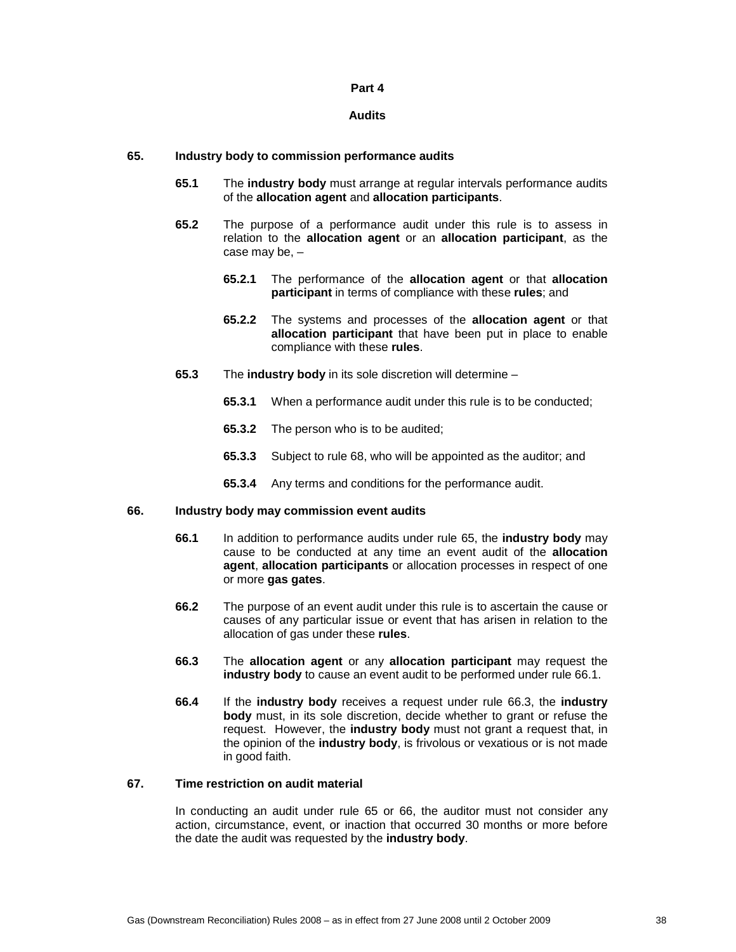#### **Part 4**

#### **Audits**

### **65. Industry body to commission performance audits**

- **65.1** The **industry body** must arrange at regular intervals performance audits of the **allocation agent** and **allocation participants**.
- **65.2** The purpose of a performance audit under this rule is to assess in relation to the **allocation agent** or an **allocation participant**, as the case may be, –
	- **65.2.1** The performance of the **allocation agent** or that **allocation participant** in terms of compliance with these **rules**; and
	- **65.2.2** The systems and processes of the **allocation agent** or that **allocation participant** that have been put in place to enable compliance with these **rules**.
- **65.3** The **industry body** in its sole discretion will determine
	- **65.3.1** When a performance audit under this rule is to be conducted;
	- **65.3.2** The person who is to be audited;
	- **65.3.3** Subject to rule 68, who will be appointed as the auditor; and
	- **65.3.4** Any terms and conditions for the performance audit.

#### **66. Industry body may commission event audits**

- **66.1** In addition to performance audits under rule 65, the **industry body** may cause to be conducted at any time an event audit of the **allocation agent**, **allocation participants** or allocation processes in respect of one or more **gas gates**.
- **66.2** The purpose of an event audit under this rule is to ascertain the cause or causes of any particular issue or event that has arisen in relation to the allocation of gas under these **rules**.
- **66.3** The **allocation agent** or any **allocation participant** may request the **industry body** to cause an event audit to be performed under rule 66.1.
- **66.4** If the **industry body** receives a request under rule 66.3, the **industry body** must, in its sole discretion, decide whether to grant or refuse the request. However, the **industry body** must not grant a request that, in the opinion of the **industry body**, is frivolous or vexatious or is not made in good faith.

#### **67. Time restriction on audit material**

In conducting an audit under rule 65 or 66, the auditor must not consider any action, circumstance, event, or inaction that occurred 30 months or more before the date the audit was requested by the **industry body**.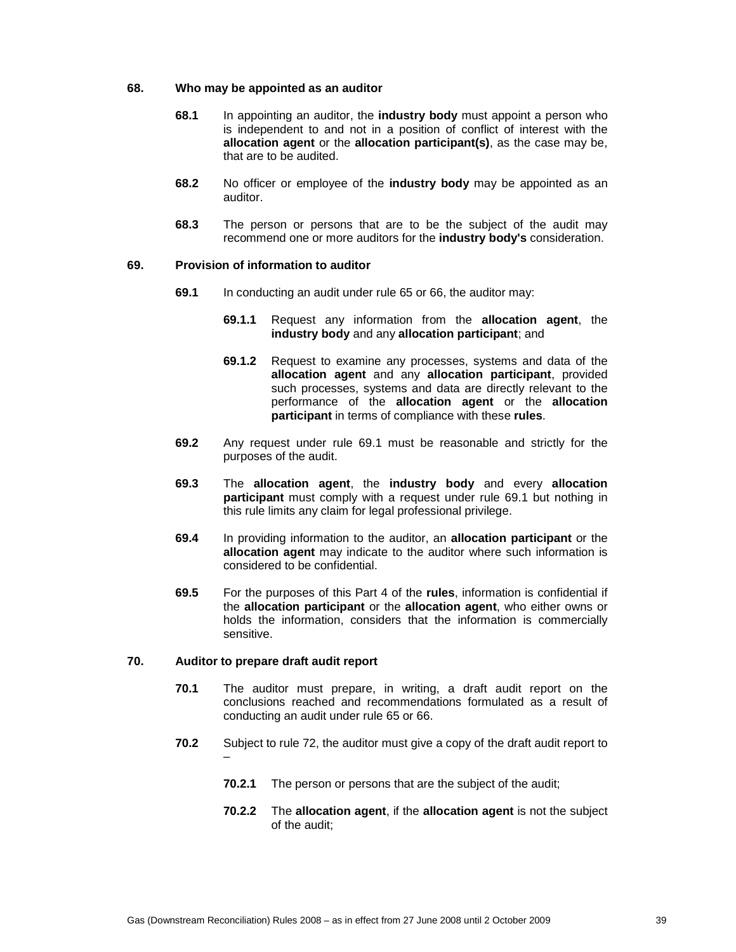### **68. Who may be appointed as an auditor**

- **68.1** In appointing an auditor, the **industry body** must appoint a person who is independent to and not in a position of conflict of interest with the **allocation agent** or the **allocation participant(s)**, as the case may be, that are to be audited.
- **68.2** No officer or employee of the **industry body** may be appointed as an auditor.
- **68.3** The person or persons that are to be the subject of the audit may recommend one or more auditors for the **industry body's** consideration.

# **69. Provision of information to auditor**

- **69.1** In conducting an audit under rule 65 or 66, the auditor may:
	- **69.1.1** Request any information from the **allocation agent**, the **industry body** and any **allocation participant**; and
	- **69.1.2** Request to examine any processes, systems and data of the **allocation agent** and any **allocation participant**, provided such processes, systems and data are directly relevant to the performance of the **allocation agent** or the **allocation participant** in terms of compliance with these **rules**.
- **69.2** Any request under rule 69.1 must be reasonable and strictly for the purposes of the audit.
- **69.3** The **allocation agent**, the **industry body** and every **allocation participant** must comply with a request under rule 69.1 but nothing in this rule limits any claim for legal professional privilege.
- **69.4** In providing information to the auditor, an **allocation participant** or the **allocation agent** may indicate to the auditor where such information is considered to be confidential.
- **69.5** For the purposes of this Part 4 of the **rules**, information is confidential if the **allocation participant** or the **allocation agent**, who either owns or holds the information, considers that the information is commercially sensitive.

# **70. Auditor to prepare draft audit report**

- **70.1** The auditor must prepare, in writing, a draft audit report on the conclusions reached and recommendations formulated as a result of conducting an audit under rule 65 or 66.
- **70.2** Subject to rule 72, the auditor must give a copy of the draft audit report to –
	- **70.2.1** The person or persons that are the subject of the audit;
	- **70.2.2** The **allocation agent**, if the **allocation agent** is not the subject of the audit;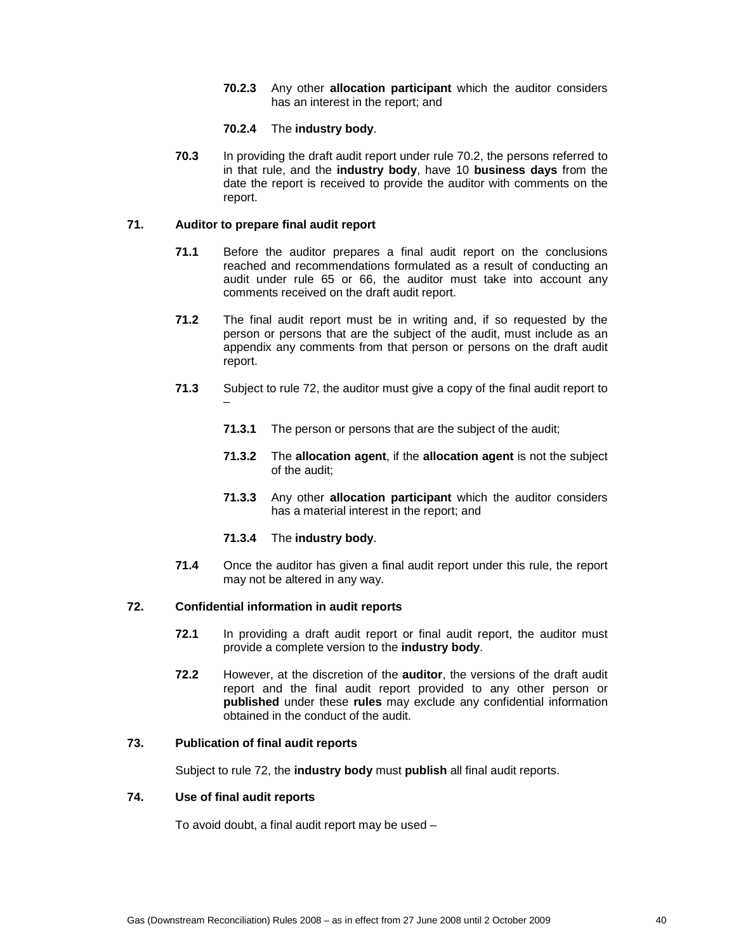**70.2.3** Any other **allocation participant** which the auditor considers has an interest in the report; and

# **70.2.4** The **industry body**.

**70.3** In providing the draft audit report under rule 70.2, the persons referred to in that rule, and the **industry body**, have 10 **business days** from the date the report is received to provide the auditor with comments on the report.

# **71. Auditor to prepare final audit report**

- **71.1** Before the auditor prepares a final audit report on the conclusions reached and recommendations formulated as a result of conducting an audit under rule 65 or 66, the auditor must take into account any comments received on the draft audit report.
- **71.2** The final audit report must be in writing and, if so requested by the person or persons that are the subject of the audit, must include as an appendix any comments from that person or persons on the draft audit report.
- **71.3** Subject to rule 72, the auditor must give a copy of the final audit report to –
	- **71.3.1** The person or persons that are the subject of the audit;
	- **71.3.2** The **allocation agent**, if the **allocation agent** is not the subject of the audit;
	- **71.3.3** Any other **allocation participant** which the auditor considers has a material interest in the report; and
	- **71.3.4** The **industry body**.
- **71.4** Once the auditor has given a final audit report under this rule, the report may not be altered in any way.

# **72. Confidential information in audit reports**

- **72.1** In providing a draft audit report or final audit report, the auditor must provide a complete version to the **industry body**.
- **72.2** However, at the discretion of the **auditor**, the versions of the draft audit report and the final audit report provided to any other person or **published** under these **rules** may exclude any confidential information obtained in the conduct of the audit.

### **73. Publication of final audit reports**

Subject to rule 72, the **industry body** must **publish** all final audit reports.

### **74. Use of final audit reports**

To avoid doubt, a final audit report may be used –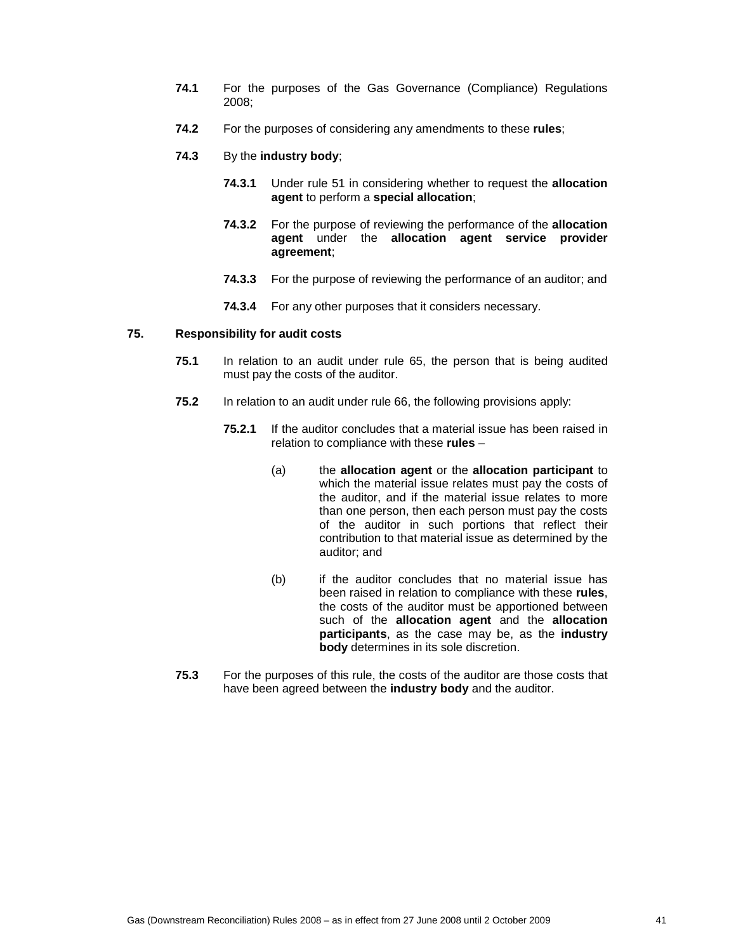- **74.1** For the purposes of the Gas Governance (Compliance) Regulations 2008;
- **74.2** For the purposes of considering any amendments to these **rules**;
- **74.3** By the **industry body**;
	- **74.3.1** Under rule 51 in considering whether to request the **allocation agent** to perform a **special allocation**;
	- **74.3.2** For the purpose of reviewing the performance of the **allocation agent** under the **allocation agent service provider agreement**;
	- **74.3.3** For the purpose of reviewing the performance of an auditor; and
	- **74.3.4** For any other purposes that it considers necessary.

### **75. Responsibility for audit costs**

- **75.1** In relation to an audit under rule 65, the person that is being audited must pay the costs of the auditor.
- **75.2** In relation to an audit under rule 66, the following provisions apply:
	- **75.2.1** If the auditor concludes that a material issue has been raised in relation to compliance with these **rules** –
		- (a) the **allocation agent** or the **allocation participant** to which the material issue relates must pay the costs of the auditor, and if the material issue relates to more than one person, then each person must pay the costs of the auditor in such portions that reflect their contribution to that material issue as determined by the auditor; and
		- (b) if the auditor concludes that no material issue has been raised in relation to compliance with these **rules**, the costs of the auditor must be apportioned between such of the **allocation agent** and the **allocation participants**, as the case may be, as the **industry body** determines in its sole discretion.
- **75.3** For the purposes of this rule, the costs of the auditor are those costs that have been agreed between the **industry body** and the auditor.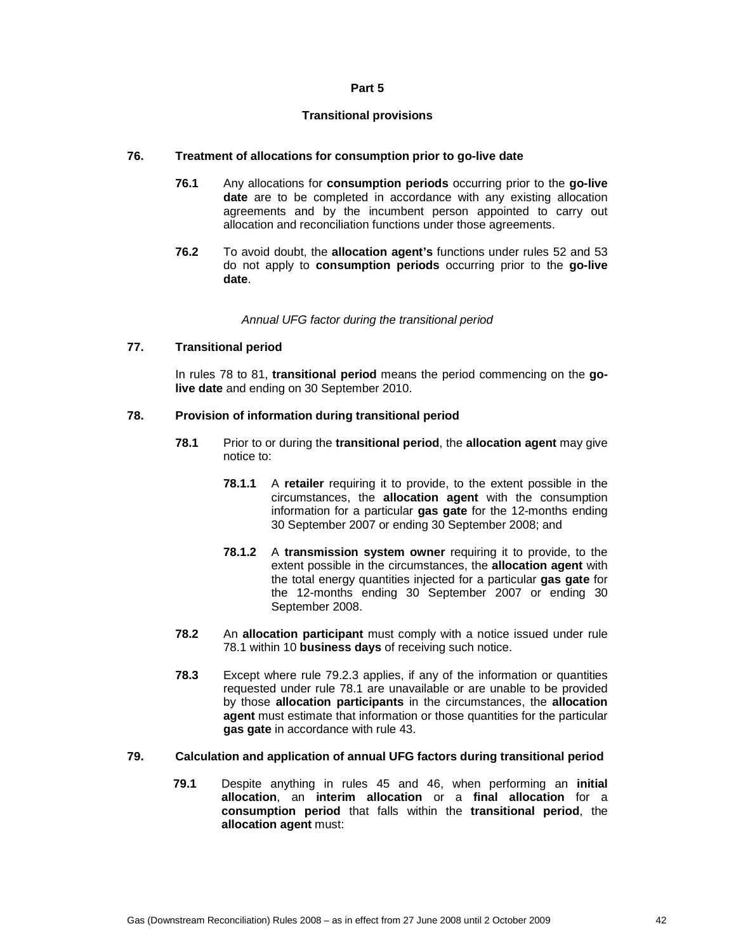### **Part 5**

### **Transitional provisions**

### **76. Treatment of allocations for consumption prior to go-live date**

- **76.1** Any allocations for **consumption periods** occurring prior to the **go-live date** are to be completed in accordance with any existing allocation agreements and by the incumbent person appointed to carry out allocation and reconciliation functions under those agreements.
- **76.2** To avoid doubt, the **allocation agent's** functions under rules 52 and 53 do not apply to **consumption periods** occurring prior to the **go-live date**.

Annual UFG factor during the transitional period

### **77. Transitional period**

In rules 78 to 81, **transitional period** means the period commencing on the **golive date** and ending on 30 September 2010.

### **78. Provision of information during transitional period**

- **78.1** Prior to or during the **transitional period**, the **allocation agent** may give notice to:
	- **78.1.1** A **retailer** requiring it to provide, to the extent possible in the circumstances, the **allocation agent** with the consumption information for a particular **gas gate** for the 12-months ending 30 September 2007 or ending 30 September 2008; and
	- **78.1.2** A **transmission system owner** requiring it to provide, to the extent possible in the circumstances, the **allocation agent** with the total energy quantities injected for a particular **gas gate** for the 12-months ending 30 September 2007 or ending 30 September 2008.
- **78.2** An **allocation participant** must comply with a notice issued under rule 78.1 within 10 **business days** of receiving such notice.
- **78.3** Except where rule 79.2.3 applies, if any of the information or quantities requested under rule 78.1 are unavailable or are unable to be provided by those **allocation participants** in the circumstances, the **allocation agent** must estimate that information or those quantities for the particular **gas gate** in accordance with rule 43.

### **79. Calculation and application of annual UFG factors during transitional period**

**79.1** Despite anything in rules 45 and 46, when performing an **initial allocation**, an **interim allocation** or a **final allocation** for a **consumption period** that falls within the **transitional period**, the **allocation agent** must: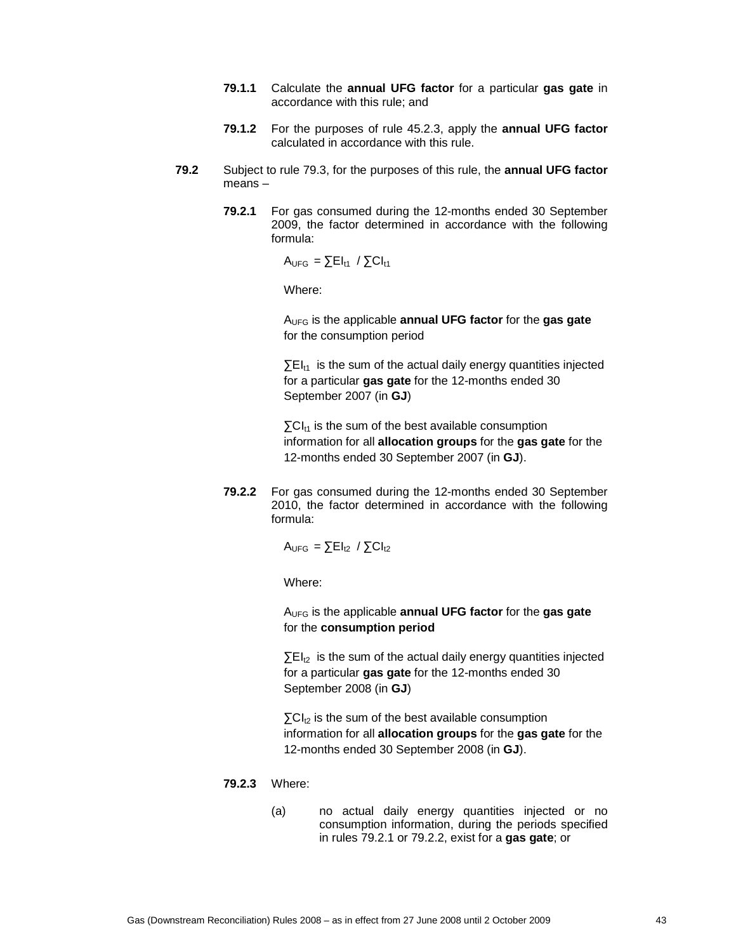- **79.1.1** Calculate the **annual UFG factor** for a particular **gas gate** in accordance with this rule; and
- **79.1.2** For the purposes of rule 45.2.3, apply the **annual UFG factor** calculated in accordance with this rule.
- **79.2** Subject to rule 79.3, for the purposes of this rule, the **annual UFG factor** means –
	- **79.2.1** For gas consumed during the 12-months ended 30 September 2009, the factor determined in accordance with the following formula:

 $A_{UFG} = \sum E I_{t1} / \sum C I_{t1}$ 

Where:

AUFG is the applicable **annual UFG factor** for the **gas gate**  for the consumption period

 $\Sigma$ EI<sub>t1</sub> is the sum of the actual daily energy quantities injected for a particular **gas gate** for the 12-months ended 30 September 2007 (in **GJ**)

 $\Sigma$ CI<sub>t1</sub> is the sum of the best available consumption information for all **allocation groups** for the **gas gate** for the 12-months ended 30 September 2007 (in **GJ**).

**79.2.2** For gas consumed during the 12-months ended 30 September 2010, the factor determined in accordance with the following formula:

 $A_{UFG} = \sum E I_{12} / \sum C I_{12}$ 

Where:

AUFG is the applicable **annual UFG factor** for the **gas gate**  for the **consumption period**

 $\Sigma$ EI<sub>t2</sub> is the sum of the actual daily energy quantities injected for a particular **gas gate** for the 12-months ended 30 September 2008 (in **GJ**)

 $\Sigma$ CI<sub>t2</sub> is the sum of the best available consumption information for all **allocation groups** for the **gas gate** for the 12-months ended 30 September 2008 (in **GJ**).

#### **79.2.3** Where:

(a) no actual daily energy quantities injected or no consumption information, during the periods specified in rules 79.2.1 or 79.2.2, exist for a **gas gate**; or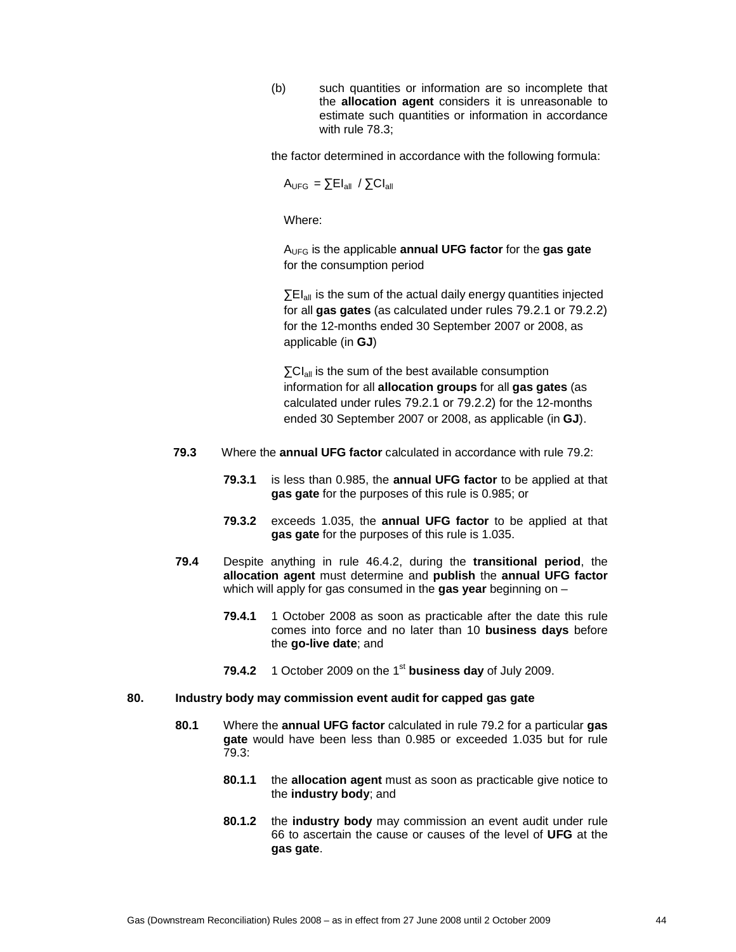(b) such quantities or information are so incomplete that the **allocation agent** considers it is unreasonable to estimate such quantities or information in accordance with rule 78.3;

the factor determined in accordance with the following formula:

$$
A_{\text{UFG}} = \sum E I_{\text{all}} / \sum C I_{\text{all}}
$$

Where:

AUFG is the applicable **annual UFG factor** for the **gas gate**  for the consumption period

 $\Sigma$ EI<sub>all</sub> is the sum of the actual daily energy quantities injected for all **gas gates** (as calculated under rules 79.2.1 or 79.2.2) for the 12-months ended 30 September 2007 or 2008, as applicable (in **GJ**)

 $\Sigma$ CI<sub>all</sub> is the sum of the best available consumption information for all **allocation groups** for all **gas gates** (as calculated under rules 79.2.1 or 79.2.2) for the 12-months ended 30 September 2007 or 2008, as applicable (in **GJ**).

- **79.3** Where the **annual UFG factor** calculated in accordance with rule 79.2:
	- **79.3.1** is less than 0.985, the **annual UFG factor** to be applied at that **gas gate** for the purposes of this rule is 0.985; or
	- **79.3.2** exceeds 1.035, the **annual UFG factor** to be applied at that **gas gate** for the purposes of this rule is 1.035.
- **79.4** Despite anything in rule 46.4.2, during the **transitional period**, the **allocation agent** must determine and **publish** the **annual UFG factor** which will apply for gas consumed in the **gas year** beginning on –
	- **79.4.1** 1 October 2008 as soon as practicable after the date this rule comes into force and no later than 10 **business days** before the **go-live date**; and
	- **79.4.2** 1 October 2009 on the 1<sup>st</sup> business day of July 2009.

#### **80. Industry body may commission event audit for capped gas gate**

- **80.1** Where the **annual UFG factor** calculated in rule 79.2 for a particular **gas gate** would have been less than 0.985 or exceeded 1.035 but for rule 79.3:
	- **80.1.1** the **allocation agent** must as soon as practicable give notice to the **industry body**; and
	- **80.1.2** the **industry body** may commission an event audit under rule 66 to ascertain the cause or causes of the level of **UFG** at the **gas gate**.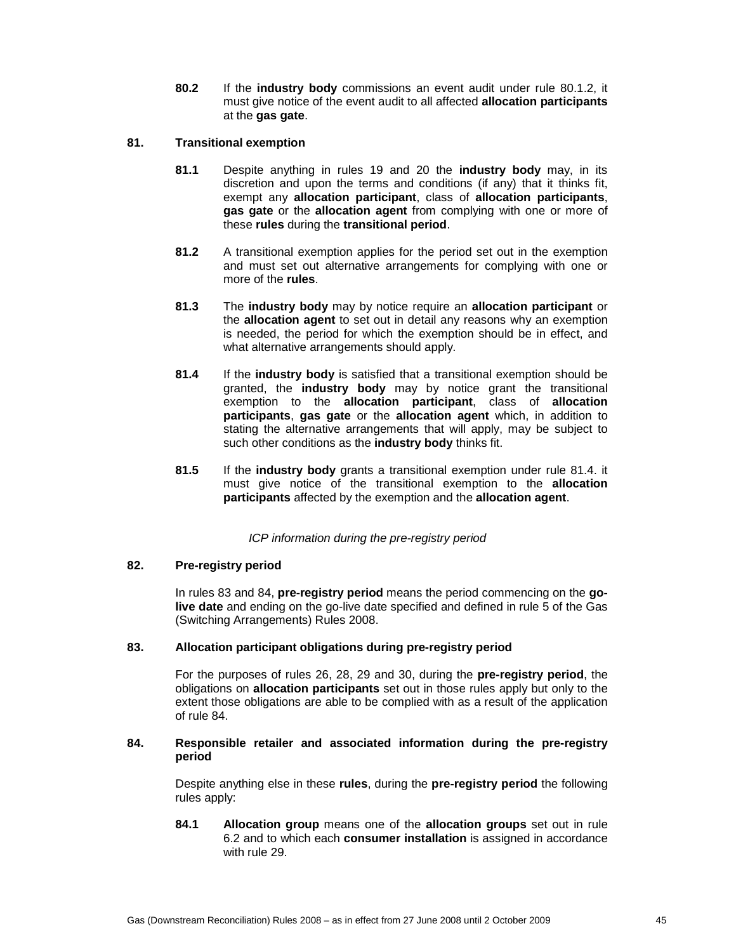**80.2** If the **industry body** commissions an event audit under rule 80.1.2, it must give notice of the event audit to all affected **allocation participants** at the **gas gate**.

# **81. Transitional exemption**

- **81.1** Despite anything in rules 19 and 20 the **industry body** may, in its discretion and upon the terms and conditions (if any) that it thinks fit, exempt any **allocation participant**, class of **allocation participants**, **gas gate** or the **allocation agent** from complying with one or more of these **rules** during the **transitional period**.
- **81.2** A transitional exemption applies for the period set out in the exemption and must set out alternative arrangements for complying with one or more of the **rules**.
- **81.3** The **industry body** may by notice require an **allocation participant** or the **allocation agent** to set out in detail any reasons why an exemption is needed, the period for which the exemption should be in effect, and what alternative arrangements should apply.
- **81.4** If the **industry body** is satisfied that a transitional exemption should be granted, the **industry body** may by notice grant the transitional exemption to the **allocation participant**, class of **allocation participants**, **gas gate** or the **allocation agent** which, in addition to stating the alternative arrangements that will apply, may be subject to such other conditions as the **industry body** thinks fit.
- **81.5** If the **industry body** grants a transitional exemption under rule 81.4. it must give notice of the transitional exemption to the **allocation participants** affected by the exemption and the **allocation agent**.

# ICP information during the pre-registry period

# **82. Pre-registry period**

In rules 83 and 84, **pre-registry period** means the period commencing on the **golive date** and ending on the go-live date specified and defined in rule 5 of the Gas (Switching Arrangements) Rules 2008.

# **83. Allocation participant obligations during pre-registry period**

For the purposes of rules 26, 28, 29 and 30, during the **pre-registry period**, the obligations on **allocation participants** set out in those rules apply but only to the extent those obligations are able to be complied with as a result of the application of rule 84.

### **84. Responsible retailer and associated information during the pre-registry period**

Despite anything else in these **rules**, during the **pre-registry period** the following rules apply:

**84.1 Allocation group** means one of the **allocation groups** set out in rule 6.2 and to which each **consumer installation** is assigned in accordance with rule 29.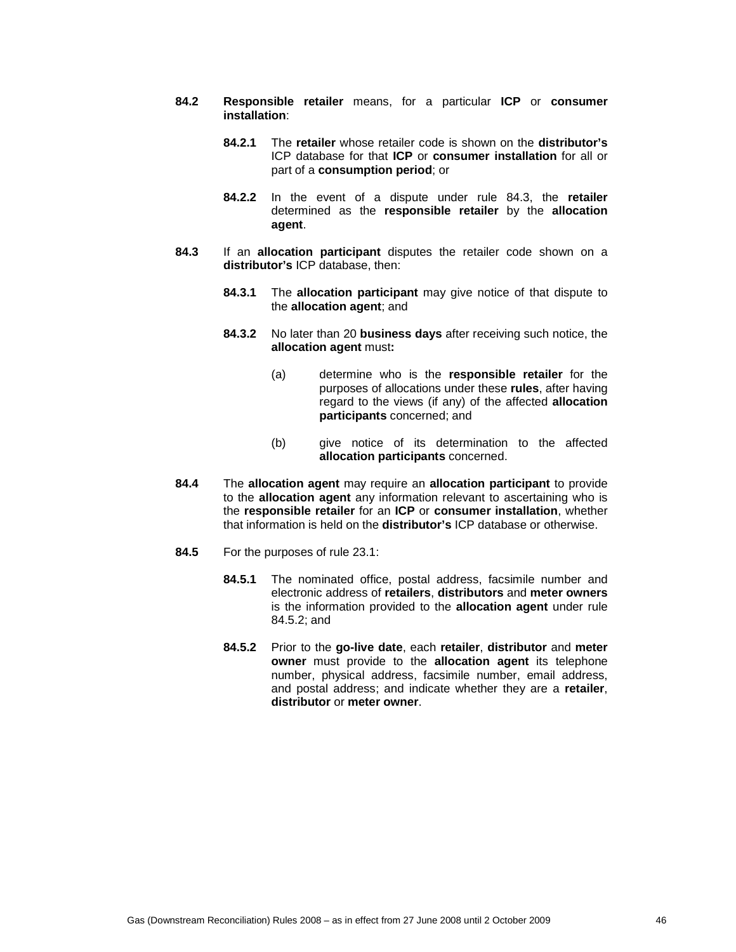- **84.2 Responsible retailer** means, for a particular **ICP** or **consumer installation**:
	- **84.2.1** The **retailer** whose retailer code is shown on the **distributor's** ICP database for that **ICP** or **consumer installation** for all or part of a **consumption period**; or
	- **84.2.2** In the event of a dispute under rule 84.3, the **retailer** determined as the **responsible retailer** by the **allocation agent**.
- **84.3** If an **allocation participant** disputes the retailer code shown on a **distributor's** ICP database, then:
	- **84.3.1** The **allocation participant** may give notice of that dispute to the **allocation agent**; and
	- **84.3.2** No later than 20 **business days** after receiving such notice, the **allocation agent** must**:**
		- (a) determine who is the **responsible retailer** for the purposes of allocations under these **rules**, after having regard to the views (if any) of the affected **allocation participants** concerned; and
		- (b) give notice of its determination to the affected **allocation participants** concerned.
- **84.4** The **allocation agent** may require an **allocation participant** to provide to the **allocation agent** any information relevant to ascertaining who is the **responsible retailer** for an **ICP** or **consumer installation**, whether that information is held on the **distributor's** ICP database or otherwise.
- **84.5** For the purposes of rule 23.1:
	- **84.5.1** The nominated office, postal address, facsimile number and electronic address of **retailers**, **distributors** and **meter owners** is the information provided to the **allocation agent** under rule 84.5.2; and
	- **84.5.2** Prior to the **go-live date**, each **retailer**, **distributor** and **meter owner** must provide to the **allocation agent** its telephone number, physical address, facsimile number, email address, and postal address; and indicate whether they are a **retailer**, **distributor** or **meter owner**.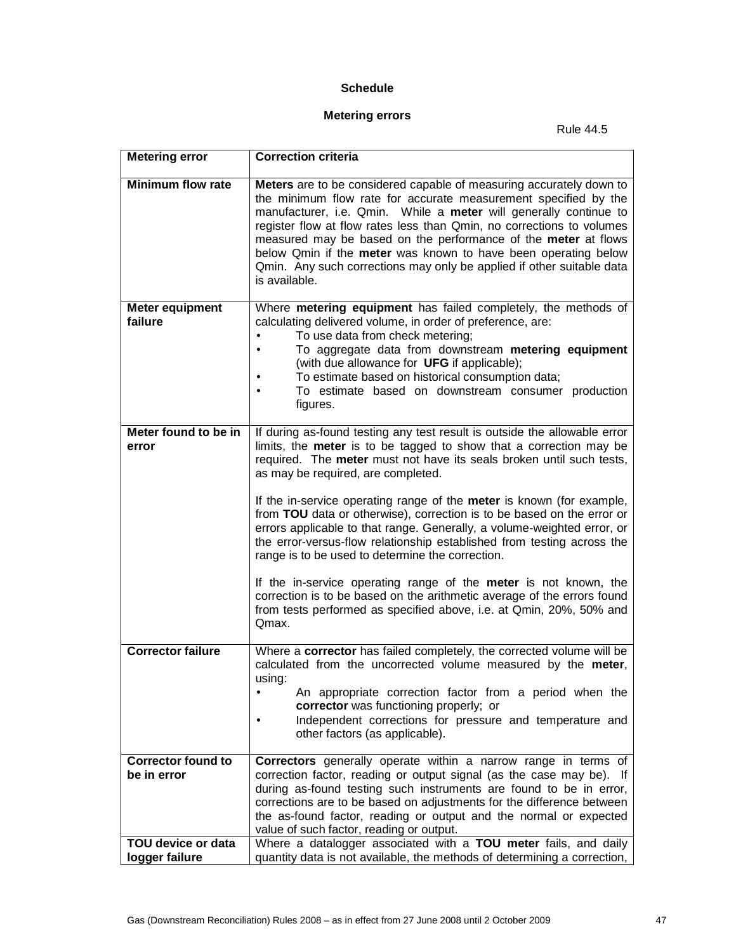# **Schedule**

# **Metering errors**

Rule 44.5

| <b>Metering error</b>         | <b>Correction criteria</b>                                                                                                                                                                                                                                                                                                                                                                                                                                                                                         |
|-------------------------------|--------------------------------------------------------------------------------------------------------------------------------------------------------------------------------------------------------------------------------------------------------------------------------------------------------------------------------------------------------------------------------------------------------------------------------------------------------------------------------------------------------------------|
| <b>Minimum flow rate</b>      | Meters are to be considered capable of measuring accurately down to<br>the minimum flow rate for accurate measurement specified by the<br>manufacturer, i.e. Qmin. While a meter will generally continue to<br>register flow at flow rates less than Qmin, no corrections to volumes<br>measured may be based on the performance of the meter at flows<br>below Qmin if the meter was known to have been operating below<br>Qmin. Any such corrections may only be applied if other suitable data<br>is available. |
| <b>Meter equipment</b>        | Where metering equipment has failed completely, the methods of                                                                                                                                                                                                                                                                                                                                                                                                                                                     |
| failure                       | calculating delivered volume, in order of preference, are:<br>To use data from check metering;<br>$\bullet$                                                                                                                                                                                                                                                                                                                                                                                                        |
|                               | To aggregate data from downstream metering equipment<br>$\bullet$                                                                                                                                                                                                                                                                                                                                                                                                                                                  |
|                               | (with due allowance for UFG if applicable);                                                                                                                                                                                                                                                                                                                                                                                                                                                                        |
|                               | To estimate based on historical consumption data;                                                                                                                                                                                                                                                                                                                                                                                                                                                                  |
|                               | To estimate based on downstream consumer production<br>$\bullet$<br>figures.                                                                                                                                                                                                                                                                                                                                                                                                                                       |
|                               |                                                                                                                                                                                                                                                                                                                                                                                                                                                                                                                    |
| Meter found to be in<br>error | If during as-found testing any test result is outside the allowable error<br>limits, the meter is to be tagged to show that a correction may be<br>required. The meter must not have its seals broken until such tests,<br>as may be required, are completed.                                                                                                                                                                                                                                                      |
|                               | If the in-service operating range of the meter is known (for example,<br>from TOU data or otherwise), correction is to be based on the error or<br>errors applicable to that range. Generally, a volume-weighted error, or<br>the error-versus-flow relationship established from testing across the<br>range is to be used to determine the correction.                                                                                                                                                           |
|                               | If the in-service operating range of the meter is not known, the<br>correction is to be based on the arithmetic average of the errors found<br>from tests performed as specified above, i.e. at Qmin, 20%, 50% and<br>Qmax.                                                                                                                                                                                                                                                                                        |
| <b>Corrector failure</b>      | Where a corrector has failed completely, the corrected volume will be<br>calculated from the uncorrected volume measured by the meter,<br>using:                                                                                                                                                                                                                                                                                                                                                                   |
|                               | An appropriate correction factor from a period when the<br>corrector was functioning properly; or                                                                                                                                                                                                                                                                                                                                                                                                                  |
|                               | Independent corrections for pressure and temperature and                                                                                                                                                                                                                                                                                                                                                                                                                                                           |
|                               | other factors (as applicable).                                                                                                                                                                                                                                                                                                                                                                                                                                                                                     |
| Corrector found to            | Correctors generally operate within a narrow range in terms of                                                                                                                                                                                                                                                                                                                                                                                                                                                     |
| be in error                   | correction factor, reading or output signal (as the case may be). If                                                                                                                                                                                                                                                                                                                                                                                                                                               |
|                               | during as-found testing such instruments are found to be in error,                                                                                                                                                                                                                                                                                                                                                                                                                                                 |
|                               | corrections are to be based on adjustments for the difference between<br>the as-found factor, reading or output and the normal or expected                                                                                                                                                                                                                                                                                                                                                                         |
|                               | value of such factor, reading or output.                                                                                                                                                                                                                                                                                                                                                                                                                                                                           |
| TOU device or data            | Where a datalogger associated with a TOU meter fails, and daily                                                                                                                                                                                                                                                                                                                                                                                                                                                    |
| logger failure                | quantity data is not available, the methods of determining a correction,                                                                                                                                                                                                                                                                                                                                                                                                                                           |